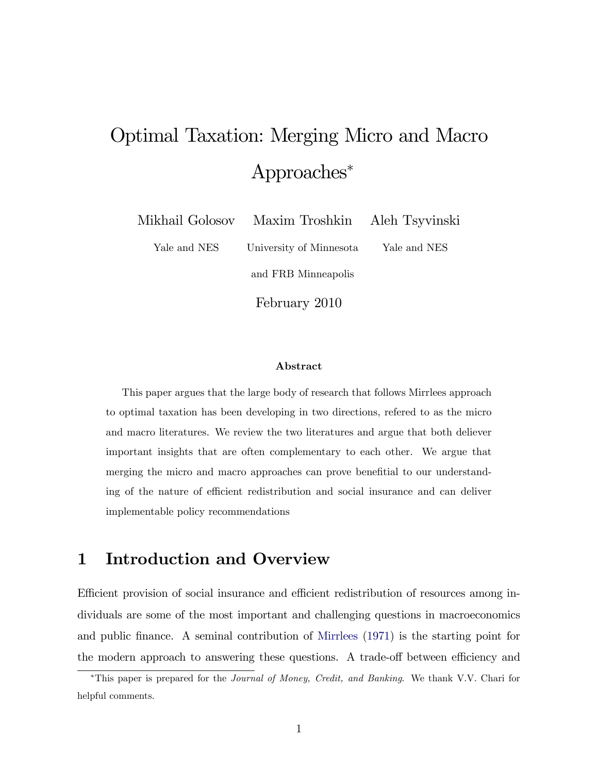# Optimal Taxation: Merging Micro and Macro Approaches

Mikhail Golosov Maxim Troshkin Aleh Tsyvinski

Yale and NES University of Minnesota Yale and NES

and FRB Minneapolis

February 2010

#### Abstract

This paper argues that the large body of research that follows Mirrlees approach to optimal taxation has been developing in two directions, refered to as the micro and macro literatures. We review the two literatures and argue that both deliever important insights that are often complementary to each other. We argue that merging the micro and macro approaches can prove benefitial to our understanding of the nature of efficient redistribution and social insurance and can deliver implementable policy recommendations

## 1 Introduction and Overview

Efficient provision of social insurance and efficient redistribution of resources among individuals are some of the most important and challenging questions in macroeconomics and public finance. A seminal contribution of [Mirrlees](#page-35-0) [\(1971\)](#page-35-0) is the starting point for the modern approach to answering these questions. A trade-off between efficiency and

<sup>\*</sup>This paper is prepared for the Journal of Money, Credit, and Banking. We thank V.V. Chari for helpful comments.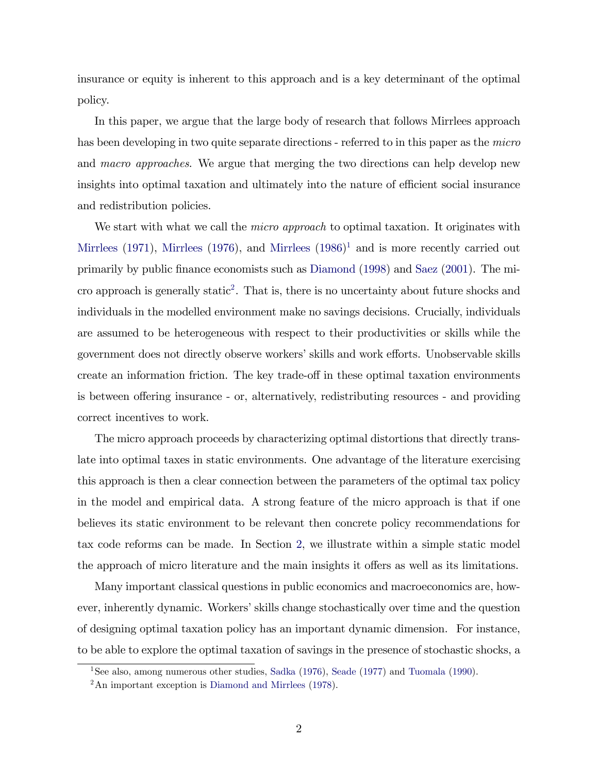insurance or equity is inherent to this approach and is a key determinant of the optimal policy.

In this paper, we argue that the large body of research that follows Mirrlees approach has been developing in two quite separate directions - referred to in this paper as the *micro* and *macro approaches*. We argue that merging the two directions can help develop new insights into optimal taxation and ultimately into the nature of efficient social insurance and redistribution policies.

We start with what we call the *micro approach* to optimal taxation. It originates with [Mirrlees](#page-35-2) [\(1971\)](#page-35-0), Mirrlees [\(1976\)](#page-35-1), and Mirrlees [\(1986\)](#page-35-2)<sup>[1](#page-1-0)</sup> and is more recently carried out primarily by public Önance economists such as [Diamond](#page-33-0) [\(1998\)](#page-33-0) and [Saez](#page-35-3) [\(2001\)](#page-35-3). The mi-cro approach is generally static<sup>[2](#page-1-1)</sup>. That is, there is no uncertainty about future shocks and individuals in the modelled environment make no savings decisions. Crucially, individuals are assumed to be heterogeneous with respect to their productivities or skills while the government does not directly observe workers' skills and work efforts. Unobservable skills create an information friction. The key trade-off in these optimal taxation environments is between offering insurance - or, alternatively, redistributing resources - and providing correct incentives to work.

The micro approach proceeds by characterizing optimal distortions that directly translate into optimal taxes in static environments. One advantage of the literature exercising this approach is then a clear connection between the parameters of the optimal tax policy in the model and empirical data. A strong feature of the micro approach is that if one believes its static environment to be relevant then concrete policy recommendations for tax code reforms can be made. In Section [2,](#page-3-0) we illustrate within a simple static model the approach of micro literature and the main insights it offers as well as its limitations.

Many important classical questions in public economics and macroeconomics are, however, inherently dynamic. Workers' skills change stochastically over time and the question of designing optimal taxation policy has an important dynamic dimension. For instance, to be able to explore the optimal taxation of savings in the presence of stochastic shocks, a

<span id="page-1-1"></span><span id="page-1-0"></span><sup>&</sup>lt;sup>1</sup>See also, among numerous other studies, [Sadka](#page-35-4) [\(1976\)](#page-35-4), [Seade](#page-36-0) [\(1977\)](#page-36-0) and [Tuomala](#page-36-1) [\(1990\)](#page-36-1).

<sup>2</sup>An important exception is [Diamond and Mirrlees](#page-33-1) [\(1978\)](#page-33-1).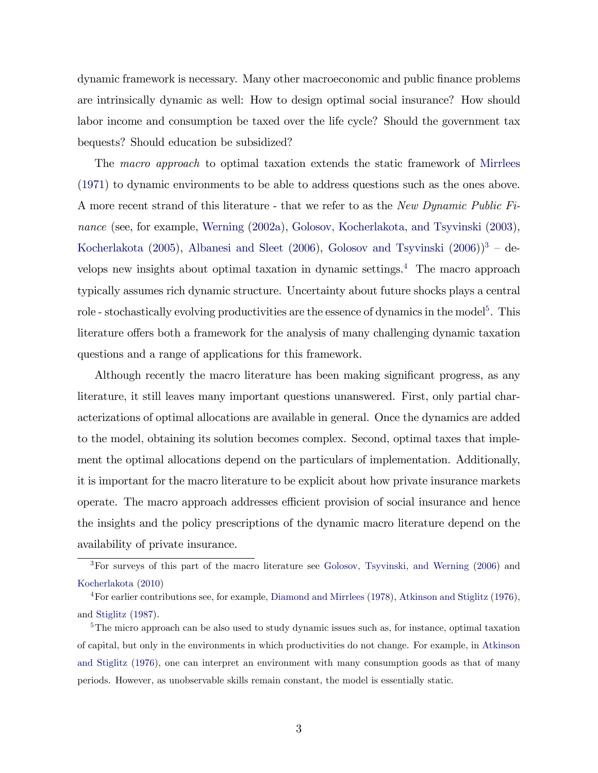dynamic framework is necessary. Many other macroeconomic and public Önance problems are intrinsically dynamic as well: How to design optimal social insurance? How should labor income and consumption be taxed over the life cycle? Should the government tax bequests? Should education be subsidized?

The macro approach to optimal taxation extends the static framework of [Mirrlees](#page-35-0) [\(1971\)](#page-35-0) to dynamic environments to be able to address questions such as the ones above. A more recent strand of this literature - that we refer to as the New Dynamic Public Finance (see, for example, [Werning](#page-36-2) [\(2002a\)](#page-36-2), [Golosov, Kocherlakota, and Tsyvinski](#page-33-2) [\(2003\)](#page-33-2), [Kocherlakota](#page-35-5) [\(2005\)](#page-35-5), [Albanesi and Sleet](#page-32-0) [\(2006\)](#page-34-0), [Golosov and Tsyvinski](#page-34-0)  $(2006)^3$  $(2006)^3$  – develops new insights about optimal taxation in dynamic settings.[4](#page-2-1) The macro approach typically assumes rich dynamic structure. Uncertainty about future shocks plays a central role - stochastically evolving productivities are the essence of dynamics in the model<sup>[5](#page-2-2)</sup>. This literature offers both a framework for the analysis of many challenging dynamic taxation questions and a range of applications for this framework.

Although recently the macro literature has been making significant progress, as any literature, it still leaves many important questions unanswered. First, only partial characterizations of optimal allocations are available in general. Once the dynamics are added to the model, obtaining its solution becomes complex. Second, optimal taxes that implement the optimal allocations depend on the particulars of implementation. Additionally, it is important for the macro literature to be explicit about how private insurance markets operate. The macro approach addresses e¢ cient provision of social insurance and hence the insights and the policy prescriptions of the dynamic macro literature depend on the availability of private insurance.

<span id="page-2-0"></span><sup>3</sup>For surveys of this part of the macro literature see [Golosov, Tsyvinski, and Werning](#page-34-1) [\(2006\)](#page-34-1) and [Kocherlakota](#page-35-6) [\(2010\)](#page-35-6)

<span id="page-2-1"></span><sup>4</sup>For earlier contributions see, for example, [Diamond and Mirrlees](#page-33-1) [\(1978\)](#page-33-1), [Atkinson and Stiglitz](#page-32-1) [\(1976\)](#page-32-1), and [Stiglitz](#page-36-3) [\(1987\)](#page-36-3).

<span id="page-2-2"></span><sup>&</sup>lt;sup>5</sup>The micro approach can be also used to study dynamic issues such as, for instance, optimal taxation of capital, but only in the environments in which productivities do not change. For example, in [Atkinson](#page-32-1) [and Stiglitz](#page-32-1) [\(1976\)](#page-32-1), one can interpret an environment with many consumption goods as that of many periods. However, as unobservable skills remain constant, the model is essentially static.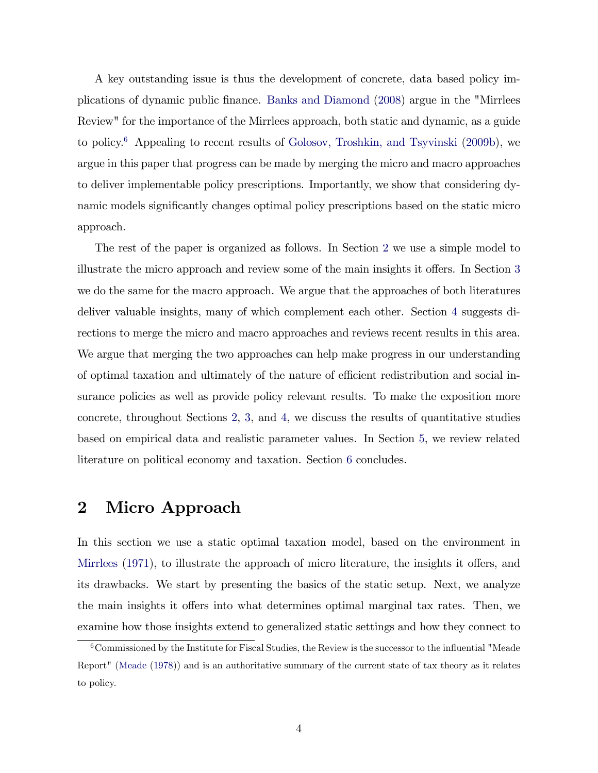A key outstanding issue is thus the development of concrete, data based policy implications of dynamic public Önance. [Banks and Diamond](#page-32-2) [\(2008\)](#page-32-2) argue in the "Mirrlees Review" for the importance of the Mirrlees approach, both static and dynamic, as a guide to policy.[6](#page-3-1) Appealing to recent results of [Golosov, Troshkin, and Tsyvinski](#page-34-2) [\(2009b\)](#page-34-2), we argue in this paper that progress can be made by merging the micro and macro approaches to deliver implementable policy prescriptions. Importantly, we show that considering dynamic models significantly changes optimal policy prescriptions based on the static micro approach.

The rest of the paper is organized as follows. In Section [2](#page-3-0) we use a simple model to illustrate the micro approach and review some of the main insights it offers. In Section [3](#page-12-0) we do the same for the macro approach. We argue that the approaches of both literatures deliver valuable insights, many of which complement each other. Section [4](#page-28-0) suggests directions to merge the micro and macro approaches and reviews recent results in this area. We argue that merging the two approaches can help make progress in our understanding of optimal taxation and ultimately of the nature of efficient redistribution and social insurance policies as well as provide policy relevant results. To make the exposition more concrete, throughout Sections [2,](#page-3-0) [3,](#page-12-0) and [4,](#page-28-0) we discuss the results of quantitative studies based on empirical data and realistic parameter values. In Section [5,](#page-29-0) we review related literature on political economy and taxation. Section [6](#page-31-0) concludes.

## <span id="page-3-0"></span>2 Micro Approach

In this section we use a static optimal taxation model, based on the environment in [Mirrlees](#page-35-0) [\(1971\)](#page-35-0), to illustrate the approach of micro literature, the insights it offers, and its drawbacks. We start by presenting the basics of the static setup. Next, we analyze the main insights it offers into what determines optimal marginal tax rates. Then, we examine how those insights extend to generalized static settings and how they connect to

<span id="page-3-1"></span> $6$ Commissioned by the Institute for Fiscal Studies, the Review is the successor to the influential "Meade Report" [\(Meade](#page-35-7) [\(1978\)](#page-35-7)) and is an authoritative summary of the current state of tax theory as it relates to policy.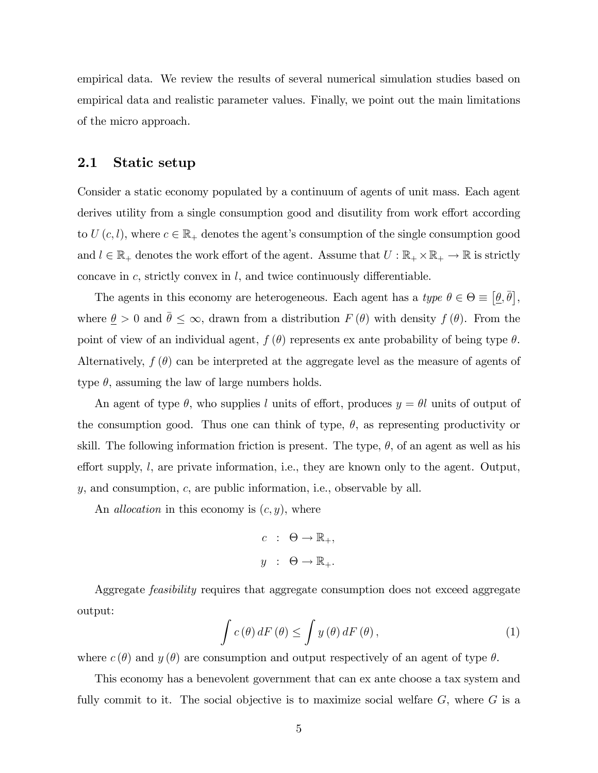empirical data. We review the results of several numerical simulation studies based on empirical data and realistic parameter values. Finally, we point out the main limitations of the micro approach.

#### 2.1 Static setup

Consider a static economy populated by a continuum of agents of unit mass. Each agent derives utility from a single consumption good and disutility from work effort according to  $U(c, l)$ , where  $c \in \mathbb{R}_+$  denotes the agent's consumption of the single consumption good and  $l \in \mathbb{R}_+$  denotes the work effort of the agent. Assume that  $U : \mathbb{R}_+ \times \mathbb{R}_+ \to \mathbb{R}$  is strictly concave in c, strictly convex in  $l$ , and twice continuously differentiable.

The agents in this economy are heterogeneous. Each agent has a type  $\theta \in \Theta \equiv [\underline{\theta}, \overline{\theta}],$ where  $\underline{\theta} > 0$  and  $\overline{\theta} \leq \infty$ , drawn from a distribution  $F(\theta)$  with density  $f(\theta)$ . From the point of view of an individual agent,  $f(\theta)$  represents ex ante probability of being type  $\theta$ . Alternatively,  $f(\theta)$  can be interpreted at the aggregate level as the measure of agents of type  $\theta$ , assuming the law of large numbers holds.

An agent of type  $\theta$ , who supplies l units of effort, produces  $y = \theta l$  units of output of the consumption good. Thus one can think of type,  $\theta$ , as representing productivity or skill. The following information friction is present. The type,  $\theta$ , of an agent as well as his effort supply,  $l$ , are private information, i.e., they are known only to the agent. Output,  $y$ , and consumption,  $c$ , are public information, i.e., observable by all.

An *allocation* in this economy is  $(c, y)$ , where

 $c : \Theta \to \mathbb{R}_+,$  $y : \Theta \to \mathbb{R}_{+}.$ 

Aggregate feasibility requires that aggregate consumption does not exceed aggregate output:

<span id="page-4-0"></span>
$$
\int c(\theta) dF(\theta) \leq \int y(\theta) dF(\theta), \qquad (1)
$$

where  $c(\theta)$  and  $y(\theta)$  are consumption and output respectively of an agent of type  $\theta$ .

This economy has a benevolent government that can ex ante choose a tax system and fully commit to it. The social objective is to maximize social welfare  $G$ , where  $G$  is a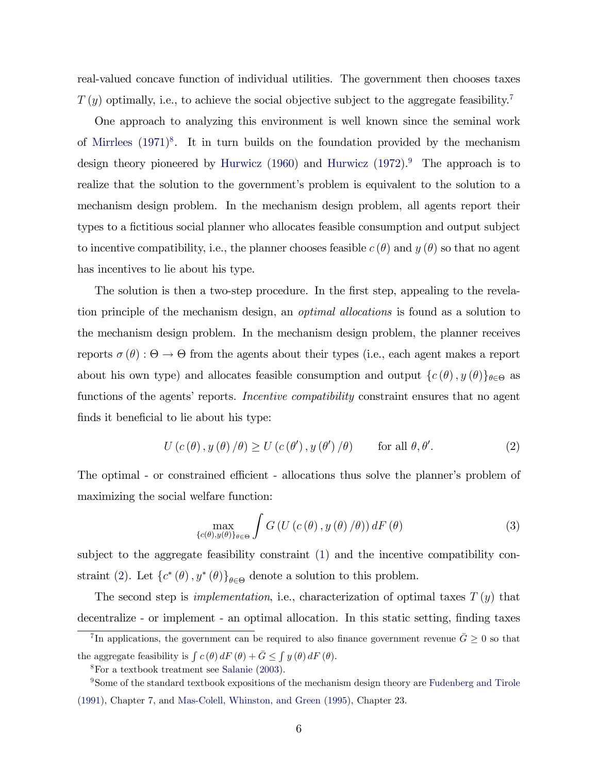real-valued concave function of individual utilities. The government then chooses taxes  $T(y)$  optimally, i.e., to achieve the social objective subject to the aggregate feasibility.<sup>[7](#page-5-0)</sup>

One approach to analyzing this environment is well known since the seminal work of [Mirrlees](#page-35-0) [\(1971\)](#page-35-0) [8](#page-5-1) . It in turn builds on the foundation provided by the mechanism design theory pioneered by [Hurwicz](#page-34-4)  $(1960)$  and Hurwicz  $(1972)$ .<sup>[9](#page-5-2)</sup> The approach is to realize that the solution to the government's problem is equivalent to the solution to a mechanism design problem. In the mechanism design problem, all agents report their types to a fictitious social planner who allocates feasible consumption and output subject to incentive compatibility, i.e., the planner chooses feasible  $c(\theta)$  and  $y(\theta)$  so that no agent has incentives to lie about his type.

The solution is then a two-step procedure. In the first step, appealing to the revelation principle of the mechanism design, an optimal allocations is found as a solution to the mechanism design problem. In the mechanism design problem, the planner receives reports  $\sigma(\theta) : \Theta \to \Theta$  from the agents about their types (i.e., each agent makes a report about his own type) and allocates feasible consumption and output  $\{c(\theta), y(\theta)\}_{\theta \in \Theta}$  as functions of the agents' reports. *Incentive compatibility* constraint ensures that no agent finds it beneficial to lie about his type:

<span id="page-5-3"></span>
$$
U\left(c\left(\theta\right), y\left(\theta\right)/\theta\right) \ge U\left(c\left(\theta'\right), y\left(\theta'\right)/\theta\right) \quad \text{for all } \theta, \theta'. \tag{2}
$$

The optimal - or constrained efficient - allocations thus solve the planner's problem of maximizing the social welfare function:

<span id="page-5-4"></span>
$$
\max_{\{c(\theta), y(\theta)\}\theta \in \Theta} \int G\left(U\left(c\left(\theta\right), y\left(\theta\right)/\theta\right)\right) dF\left(\theta\right) \tag{3}
$$

subject to the aggregate feasibility constraint [\(1\)](#page-4-0) and the incentive compatibility con-straint [\(2\)](#page-5-3). Let  ${c^*(\theta), y^*(\theta)}_{\theta \in \Theta}$  denote a solution to this problem.

The second step is *implementation*, i.e., characterization of optimal taxes  $T(y)$  that decentralize - or implement - an optimal allocation. In this static setting, finding taxes

<span id="page-5-0"></span><sup>&</sup>lt;sup>7</sup>In applications, the government can be required to also finance government revenue  $\bar{G} \geq 0$  so that the aggregate feasibility is  $\int c(\theta) dF(\theta) + \bar{G} \le \int y(\theta) dF(\theta)$ .

<span id="page-5-2"></span><span id="page-5-1"></span><sup>8</sup>For a textbook treatment see [Salanie](#page-36-4) [\(2003\)](#page-36-4).

<sup>9</sup>Some of the standard textbook expositions of the mechanism design theory are [Fudenberg and Tirole](#page-33-3) [\(1991\)](#page-33-3), Chapter 7, and [Mas-Colell, Whinston, and Green](#page-35-8) [\(1995\)](#page-35-8), Chapter 23.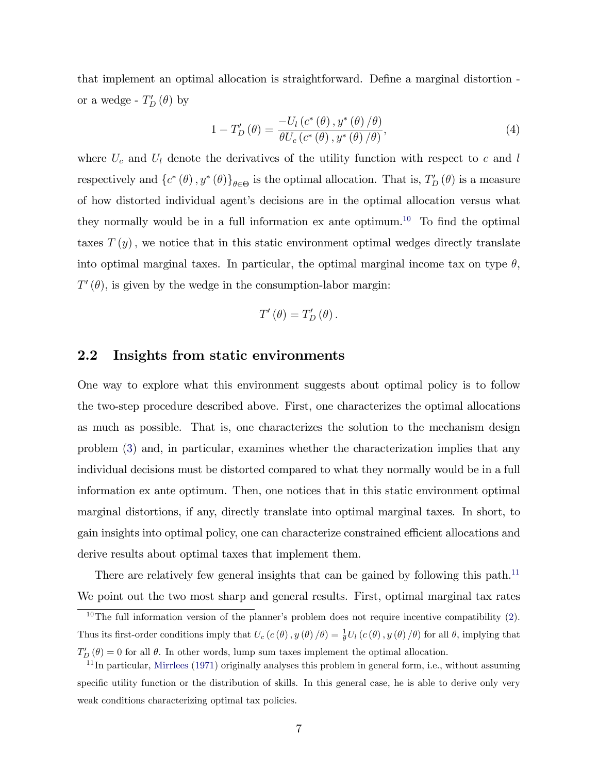that implement an optimal allocation is straightforward. Define a marginal distortion or a wedge -  $T'_D(\theta)$  by

$$
1 - T'_D(\theta) = \frac{-U_l(c^*(\theta), y^*(\theta)/\theta)}{\theta U_c(c^*(\theta), y^*(\theta)/\theta)},
$$
\n(4)

where  $U_c$  and  $U_l$  denote the derivatives of the utility function with respect to c and l respectively and  $\{c^*(\theta), y^*(\theta)\}_{\theta \in \Theta}$  is the optimal allocation. That is,  $T'_D(\theta)$  is a measure of how distorted individual agent's decisions are in the optimal allocation versus what they normally would be in a full information  $ex$  ante optimum.<sup>[10](#page-6-0)</sup> To find the optimal taxes  $T(y)$ , we notice that in this static environment optimal wedges directly translate into optimal marginal taxes. In particular, the optimal marginal income tax on type  $\theta$ ,  $T'(\theta)$ , is given by the wedge in the consumption-labor margin:

$$
T'\left(\theta\right)=T'_D\left(\theta\right).
$$

#### 2.2 Insights from static environments

One way to explore what this environment suggests about optimal policy is to follow the two-step procedure described above. First, one characterizes the optimal allocations as much as possible. That is, one characterizes the solution to the mechanism design problem [\(3\)](#page-5-4) and, in particular, examines whether the characterization implies that any individual decisions must be distorted compared to what they normally would be in a full information ex ante optimum. Then, one notices that in this static environment optimal marginal distortions, if any, directly translate into optimal marginal taxes. In short, to gain insights into optimal policy, one can characterize constrained efficient allocations and derive results about optimal taxes that implement them.

There are relatively few general insights that can be gained by following this path.<sup>[11](#page-6-1)</sup> We point out the two most sharp and general results. First, optimal marginal tax rates

<span id="page-6-0"></span> $10$ The full information version of the planner's problem does not require incentive compatibility [\(2\)](#page-5-3). Thus its first-order conditions imply that  $U_c(c(\theta), y(\theta)/\theta) = \frac{1}{\theta} U_l(c(\theta), y(\theta)/\theta)$  for all  $\theta$ , implying that  $T'_{D}(\theta) = 0$  for all  $\theta$ . In other words, lump sum taxes implement the optimal allocation.

<span id="page-6-1"></span> $11$ In particular, [Mirrlees](#page-35-0) [\(1971\)](#page-35-0) originally analyses this problem in general form, i.e., without assuming specific utility function or the distribution of skills. In this general case, he is able to derive only very weak conditions characterizing optimal tax policies.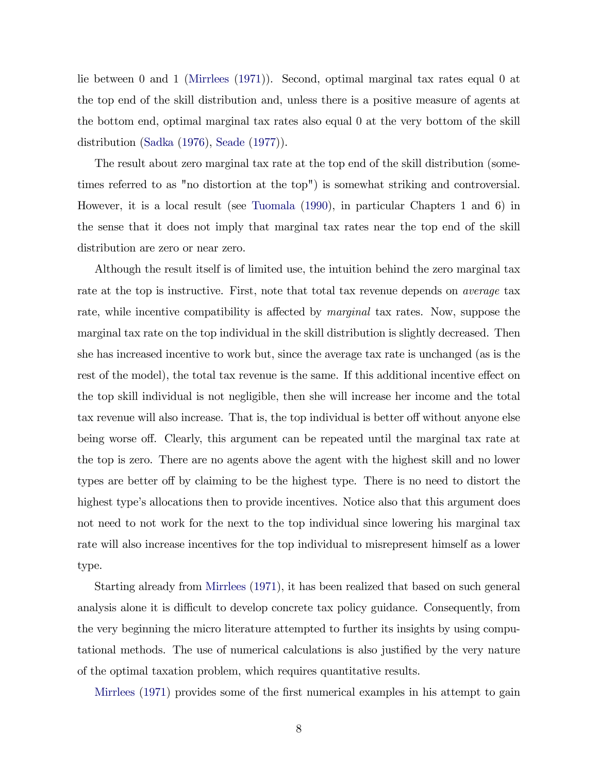lie between 0 and 1 [\(Mirrlees](#page-35-0) [\(1971\)](#page-35-0)). Second, optimal marginal tax rates equal 0 at the top end of the skill distribution and, unless there is a positive measure of agents at the bottom end, optimal marginal tax rates also equal 0 at the very bottom of the skill distribution [\(Sadka](#page-35-4) [\(1976\)](#page-35-4), [Seade](#page-36-0) [\(1977\)](#page-36-0)).

The result about zero marginal tax rate at the top end of the skill distribution (sometimes referred to as "no distortion at the top") is somewhat striking and controversial. However, it is a local result (see [Tuomala](#page-36-1) [\(1990\)](#page-36-1), in particular Chapters 1 and 6) in the sense that it does not imply that marginal tax rates near the top end of the skill distribution are zero or near zero.

Although the result itself is of limited use, the intuition behind the zero marginal tax rate at the top is instructive. First, note that total tax revenue depends on *average* tax rate, while incentive compatibility is affected by *marginal* tax rates. Now, suppose the marginal tax rate on the top individual in the skill distribution is slightly decreased. Then she has increased incentive to work but, since the average tax rate is unchanged (as is the rest of the model), the total tax revenue is the same. If this additional incentive effect on the top skill individual is not negligible, then she will increase her income and the total tax revenue will also increase. That is, the top individual is better off without anyone else being worse off. Clearly, this argument can be repeated until the marginal tax rate at the top is zero. There are no agents above the agent with the highest skill and no lower types are better of the claiming to be the highest type. There is no need to distort the highest type's allocations then to provide incentives. Notice also that this argument does not need to not work for the next to the top individual since lowering his marginal tax rate will also increase incentives for the top individual to misrepresent himself as a lower type.

Starting already from [Mirrlees](#page-35-0) [\(1971\)](#page-35-0), it has been realized that based on such general analysis alone it is difficult to develop concrete tax policy guidance. Consequently, from the very beginning the micro literature attempted to further its insights by using computational methods. The use of numerical calculations is also justified by the very nature of the optimal taxation problem, which requires quantitative results.

[Mirrlees](#page-35-0) [\(1971\)](#page-35-0) provides some of the first numerical examples in his attempt to gain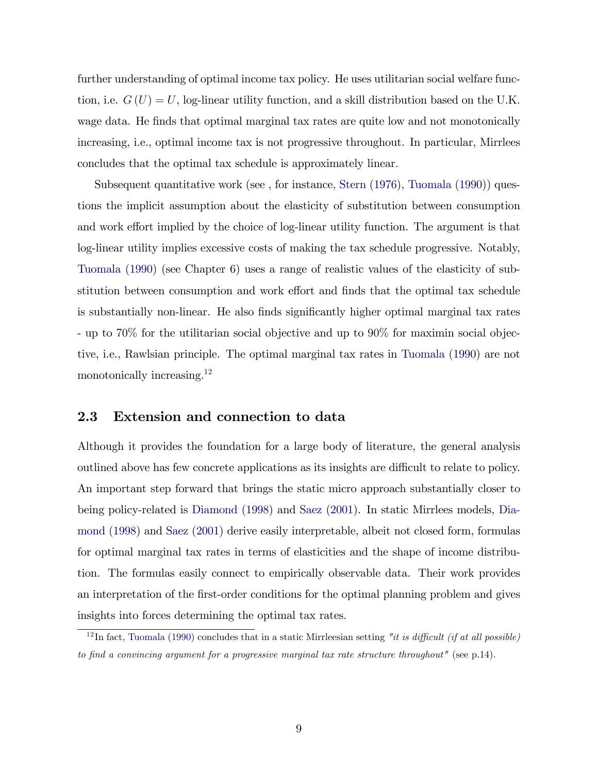further understanding of optimal income tax policy. He uses utilitarian social welfare function, i.e.  $G(U) = U$ , log-linear utility function, and a skill distribution based on the U.K. wage data. He finds that optimal marginal tax rates are quite low and not monotonically increasing, i.e., optimal income tax is not progressive throughout. In particular, Mirrlees concludes that the optimal tax schedule is approximately linear.

Subsequent quantitative work (see , for instance, [Stern](#page-36-5) [\(1976\)](#page-36-5), [Tuomala](#page-36-1) [\(1990\)](#page-36-1)) questions the implicit assumption about the elasticity of substitution between consumption and work effort implied by the choice of log-linear utility function. The argument is that log-linear utility implies excessive costs of making the tax schedule progressive. Notably, [Tuomala](#page-36-1) [\(1990\)](#page-36-1) (see Chapter 6) uses a range of realistic values of the elasticity of substitution between consumption and work effort and finds that the optimal tax schedule is substantially non-linear. He also finds significantly higher optimal marginal tax rates - up to 70% for the utilitarian social objective and up to 90% for maximin social objective, i.e., Rawlsian principle. The optimal marginal tax rates in [Tuomala](#page-36-1) [\(1990\)](#page-36-1) are not monotonically increasing.[12](#page-8-0)

#### 2.3 Extension and connection to data

Although it provides the foundation for a large body of literature, the general analysis outlined above has few concrete applications as its insights are difficult to relate to policy. An important step forward that brings the static micro approach substantially closer to being policy-related is [Diamond](#page-33-0) [\(1998\)](#page-33-0) and [Saez](#page-35-3) [\(2001\)](#page-35-3). In static Mirrlees models, [Dia](#page-33-0)[mond](#page-33-0) [\(1998\)](#page-33-0) and [Saez](#page-35-3) [\(2001\)](#page-35-3) derive easily interpretable, albeit not closed form, formulas for optimal marginal tax rates in terms of elasticities and the shape of income distribution. The formulas easily connect to empirically observable data. Their work provides an interpretation of the first-order conditions for the optimal planning problem and gives insights into forces determining the optimal tax rates.

<span id="page-8-0"></span> $12$ In fact, [Tuomala](#page-36-1) [\(1990\)](#page-36-1) concludes that in a static Mirrleesian setting "it is difficult (if at all possible) to find a convincing argument for a progressive marginal tax rate structure throughout" (see p.14).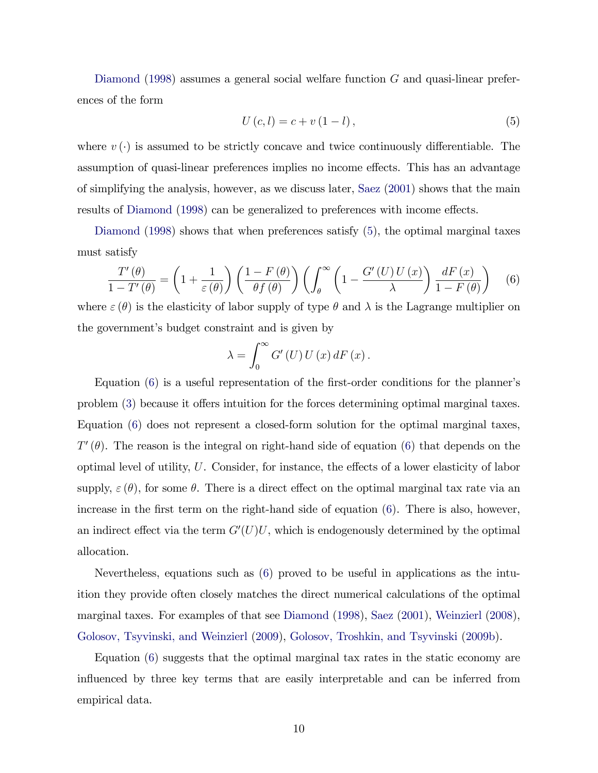[Diamond](#page-33-0) [\(1998\)](#page-33-0) assumes a general social welfare function G and quasi-linear preferences of the form

<span id="page-9-0"></span>
$$
U(c, l) = c + v(1 - l),
$$
\n(5)

where  $v(\cdot)$  is assumed to be strictly concave and twice continuously differentiable. The assumption of quasi-linear preferences implies no income effects. This has an advantage of simplifying the analysis, however, as we discuss later, [Saez](#page-35-3) [\(2001\)](#page-35-3) shows that the main results of [Diamond](#page-33-0) [\(1998\)](#page-33-0) can be generalized to preferences with income effects.

[Diamond](#page-33-0) [\(1998\)](#page-33-0) shows that when preferences satisfy [\(5\)](#page-9-0), the optimal marginal taxes must satisfy

<span id="page-9-1"></span>
$$
\frac{T'(\theta)}{1 - T'(\theta)} = \left(1 + \frac{1}{\varepsilon(\theta)}\right) \left(\frac{1 - F(\theta)}{\theta f(\theta)}\right) \left(\int_{\theta}^{\infty} \left(1 - \frac{G'(U)U(x)}{\lambda}\right) \frac{dF(x)}{1 - F(\theta)}\right) \tag{6}
$$

where  $\varepsilon(\theta)$  is the elasticity of labor supply of type  $\theta$  and  $\lambda$  is the Lagrange multiplier on the government's budget constraint and is given by

$$
\lambda = \int_0^\infty G'(U) U(x) dF(x).
$$

Equation  $(6)$  is a useful representation of the first-order conditions for the planner's problem [\(3\)](#page-5-4) because it offers intuition for the forces determining optimal marginal taxes. Equation [\(6\)](#page-9-1) does not represent a closed-form solution for the optimal marginal taxes,  $T'(\theta)$ . The reason is the integral on right-hand side of equation [\(6\)](#page-9-1) that depends on the optimal level of utility,  $U$ . Consider, for instance, the effects of a lower elasticity of labor supply,  $\varepsilon(\theta)$ , for some  $\theta$ . There is a direct effect on the optimal marginal tax rate via an increase in the first term on the right-hand side of equation  $(6)$ . There is also, however, an indirect effect via the term  $G'(U)U$ , which is endogenously determined by the optimal allocation.

Nevertheless, equations such as [\(6\)](#page-9-1) proved to be useful in applications as the intuition they provide often closely matches the direct numerical calculations of the optimal marginal taxes. For examples of that see [Diamond](#page-33-0) [\(1998\)](#page-33-0), [Saez](#page-35-3) [\(2001\)](#page-35-3), [Weinzierl](#page-36-6) [\(2008\)](#page-36-6), [Golosov, Tsyvinski, and Weinzierl](#page-34-5) [\(2009\)](#page-34-5), [Golosov, Troshkin, and Tsyvinski](#page-34-2) [\(2009b\)](#page-34-2).

Equation [\(6\)](#page-9-1) suggests that the optimal marginal tax rates in the static economy are influenced by three key terms that are easily interpretable and can be inferred from empirical data.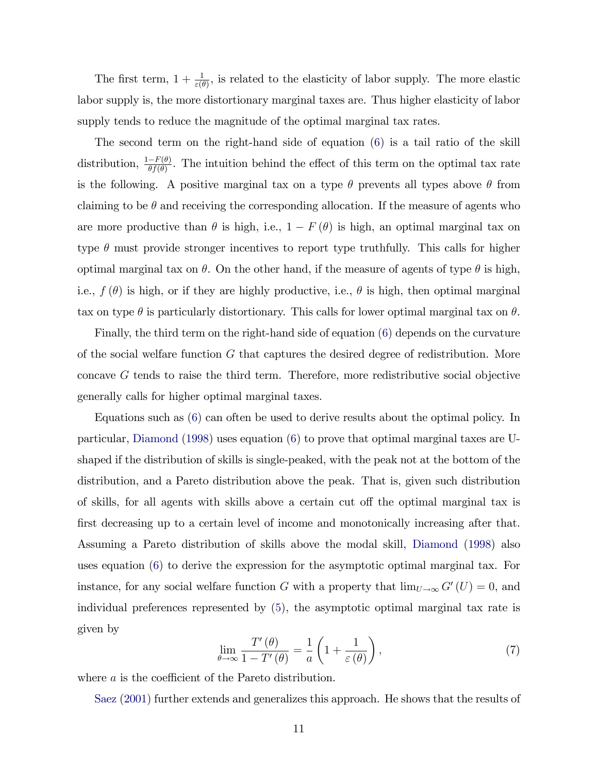The first term,  $1 + \frac{1}{\varepsilon(\theta)}$ , is related to the elasticity of labor supply. The more elastic labor supply is, the more distortionary marginal taxes are. Thus higher elasticity of labor supply tends to reduce the magnitude of the optimal marginal tax rates.

The second term on the right-hand side of equation [\(6\)](#page-9-1) is a tail ratio of the skill distribution,  $\frac{1-F(\theta)}{\theta f(\theta)}$ . The intuition behind the effect of this term on the optimal tax rate is the following. A positive marginal tax on a type  $\theta$  prevents all types above  $\theta$  from claiming to be  $\theta$  and receiving the corresponding allocation. If the measure of agents who are more productive than  $\theta$  is high, i.e.,  $1 - F(\theta)$  is high, an optimal marginal tax on type  $\theta$  must provide stronger incentives to report type truthfully. This calls for higher optimal marginal tax on  $\theta$ . On the other hand, if the measure of agents of type  $\theta$  is high, i.e.,  $f(\theta)$  is high, or if they are highly productive, i.e.,  $\theta$  is high, then optimal marginal tax on type  $\theta$  is particularly distortionary. This calls for lower optimal marginal tax on  $\theta$ .

Finally, the third term on the right-hand side of equation [\(6\)](#page-9-1) depends on the curvature of the social welfare function  $G$  that captures the desired degree of redistribution. More concave G tends to raise the third term. Therefore, more redistributive social objective generally calls for higher optimal marginal taxes.

Equations such as [\(6\)](#page-9-1) can often be used to derive results about the optimal policy. In particular, [Diamond](#page-33-0) [\(1998\)](#page-33-0) uses equation [\(6\)](#page-9-1) to prove that optimal marginal taxes are Ushaped if the distribution of skills is single-peaked, with the peak not at the bottom of the distribution, and a Pareto distribution above the peak. That is, given such distribution of skills, for all agents with skills above a certain cut off the optimal marginal tax is first decreasing up to a certain level of income and monotonically increasing after that. Assuming a Pareto distribution of skills above the modal skill, [Diamond](#page-33-0) [\(1998\)](#page-33-0) also uses equation [\(6\)](#page-9-1) to derive the expression for the asymptotic optimal marginal tax. For instance, for any social welfare function G with a property that  $\lim_{U\to\infty} G'(U) = 0$ , and individual preferences represented by [\(5\)](#page-9-0), the asymptotic optimal marginal tax rate is given by

<span id="page-10-0"></span>
$$
\lim_{\theta \to \infty} \frac{T'(\theta)}{1 - T'(\theta)} = \frac{1}{a} \left( 1 + \frac{1}{\varepsilon(\theta)} \right),\tag{7}
$$

where  $a$  is the coefficient of the Pareto distribution.

[Saez](#page-35-3) [\(2001\)](#page-35-3) further extends and generalizes this approach. He shows that the results of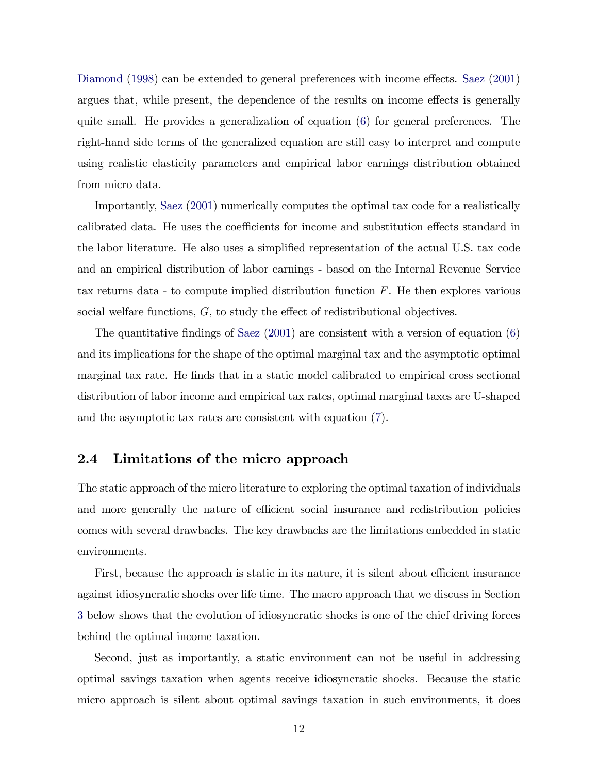[Diamond](#page-33-0) [\(1998\)](#page-33-0) can be extended to general preferences with income effects. [Saez](#page-35-3) [\(2001\)](#page-35-3) argues that, while present, the dependence of the results on income effects is generally quite small. He provides a generalization of equation [\(6\)](#page-9-1) for general preferences. The right-hand side terms of the generalized equation are still easy to interpret and compute using realistic elasticity parameters and empirical labor earnings distribution obtained from micro data.

Importantly, [Saez](#page-35-3) [\(2001\)](#page-35-3) numerically computes the optimal tax code for a realistically calibrated data. He uses the coefficients for income and substitution effects standard in the labor literature. He also uses a simplified representation of the actual U.S. tax code and an empirical distribution of labor earnings - based on the Internal Revenue Service tax returns data - to compute implied distribution function  $F$ . He then explores various social welfare functions,  $G$ , to study the effect of redistributional objectives.

The quantitative findings of [Saez](#page-35-3)  $(2001)$  are consistent with a version of equation  $(6)$ and its implications for the shape of the optimal marginal tax and the asymptotic optimal marginal tax rate. He finds that in a static model calibrated to empirical cross sectional distribution of labor income and empirical tax rates, optimal marginal taxes are U-shaped and the asymptotic tax rates are consistent with equation [\(7\)](#page-10-0).

#### 2.4 Limitations of the micro approach

The static approach of the micro literature to exploring the optimal taxation of individuals and more generally the nature of efficient social insurance and redistribution policies comes with several drawbacks. The key drawbacks are the limitations embedded in static environments.

First, because the approach is static in its nature, it is silent about efficient insurance against idiosyncratic shocks over life time. The macro approach that we discuss in Section [3](#page-12-0) below shows that the evolution of idiosyncratic shocks is one of the chief driving forces behind the optimal income taxation.

Second, just as importantly, a static environment can not be useful in addressing optimal savings taxation when agents receive idiosyncratic shocks. Because the static micro approach is silent about optimal savings taxation in such environments, it does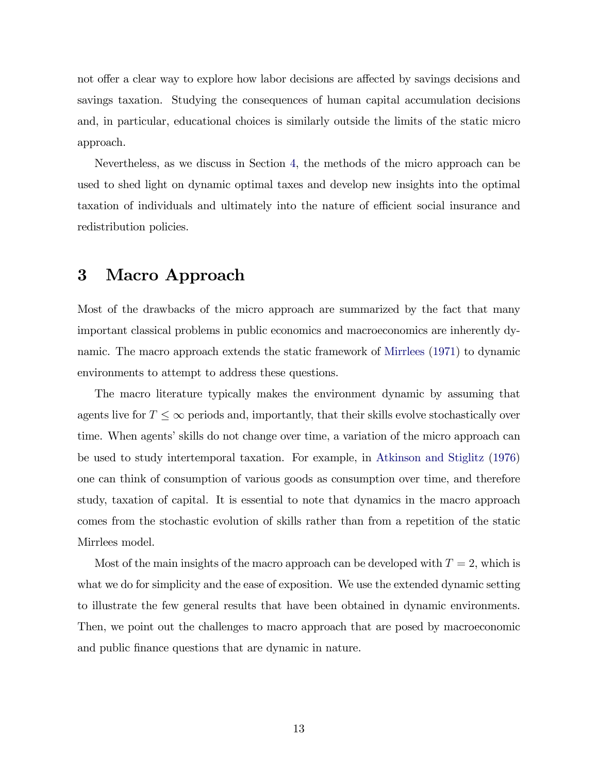not offer a clear way to explore how labor decisions are affected by savings decisions and savings taxation. Studying the consequences of human capital accumulation decisions and, in particular, educational choices is similarly outside the limits of the static micro approach.

Nevertheless, as we discuss in Section [4,](#page-28-0) the methods of the micro approach can be used to shed light on dynamic optimal taxes and develop new insights into the optimal taxation of individuals and ultimately into the nature of efficient social insurance and redistribution policies.

## <span id="page-12-0"></span>3 Macro Approach

Most of the drawbacks of the micro approach are summarized by the fact that many important classical problems in public economics and macroeconomics are inherently dynamic. The macro approach extends the static framework of [Mirrlees](#page-35-0) [\(1971\)](#page-35-0) to dynamic environments to attempt to address these questions.

The macro literature typically makes the environment dynamic by assuming that agents live for  $T \leq \infty$  periods and, importantly, that their skills evolve stochastically over time. When agents' skills do not change over time, a variation of the micro approach can be used to study intertemporal taxation. For example, in [Atkinson and Stiglitz](#page-32-1) [\(1976\)](#page-32-1) one can think of consumption of various goods as consumption over time, and therefore study, taxation of capital. It is essential to note that dynamics in the macro approach comes from the stochastic evolution of skills rather than from a repetition of the static Mirrlees model.

Most of the main insights of the macro approach can be developed with  $T = 2$ , which is what we do for simplicity and the ease of exposition. We use the extended dynamic setting to illustrate the few general results that have been obtained in dynamic environments. Then, we point out the challenges to macro approach that are posed by macroeconomic and public finance questions that are dynamic in nature.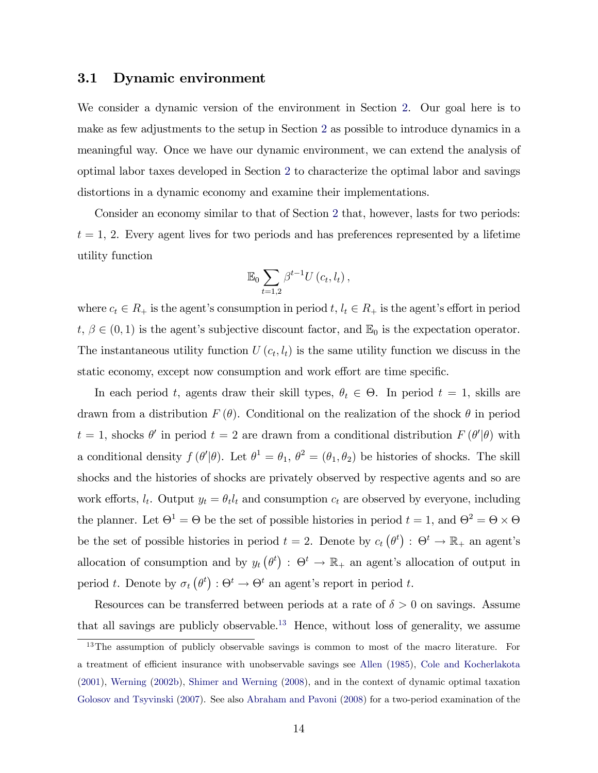#### 3.1 Dynamic environment

We consider a dynamic version of the environment in Section [2.](#page-3-0) Our goal here is to make as few adjustments to the setup in Section [2](#page-3-0) as possible to introduce dynamics in a meaningful way. Once we have our dynamic environment, we can extend the analysis of optimal labor taxes developed in Section [2](#page-3-0) to characterize the optimal labor and savings distortions in a dynamic economy and examine their implementations.

Consider an economy similar to that of Section [2](#page-3-0) that, however, lasts for two periods:  $t = 1, 2$ . Every agent lives for two periods and has preferences represented by a lifetime utility function

$$
\mathbb{E}_0 \sum_{t=1,2} \beta^{t-1} U\left(c_t, l_t\right),\,
$$

where  $c_t \in R_+$  is the agent's consumption in period  $t, l_t \in R_+$  is the agent's effort in period  $t, \beta \in (0,1)$  is the agent's subjective discount factor, and  $\mathbb{E}_0$  is the expectation operator. The instantaneous utility function  $U(c_t, l_t)$  is the same utility function we discuss in the static economy, except now consumption and work effort are time specific.

In each period t, agents draw their skill types,  $\theta_t \in \Theta$ . In period  $t = 1$ , skills are drawn from a distribution  $F(\theta)$ . Conditional on the realization of the shock  $\theta$  in period  $t = 1$ , shocks  $\theta'$  in period  $t = 2$  are drawn from a conditional distribution  $F(\theta'|\theta)$  with a conditional density  $f(\theta'|\theta)$ . Let  $\theta^1 = \theta_1$ ,  $\theta^2 = (\theta_1, \theta_2)$  be histories of shocks. The skill shocks and the histories of shocks are privately observed by respective agents and so are work efforts,  $l_t$ . Output  $y_t = \theta_t l_t$  and consumption  $c_t$  are observed by everyone, including the planner. Let  $\Theta^1 = \Theta$  be the set of possible histories in period  $t = 1$ , and  $\Theta^2 = \Theta \times \Theta$ be the set of possible histories in period  $t = 2$ . Denote by  $c_t(\theta^t) : \Theta^t \to \mathbb{R}_+$  an agent's allocation of consumption and by  $y_t(\theta^t) : \Theta^t \to \mathbb{R}_+$  an agent's allocation of output in period t. Denote by  $\sigma_t(\theta^t): \Theta^t \to \Theta^t$  an agent's report in period t.

Resources can be transferred between periods at a rate of  $\delta > 0$  on savings. Assume that all savings are publicly observable.<sup>[13](#page-13-0)</sup> Hence, without loss of generality, we assume

<span id="page-13-0"></span> $13$ The assumption of publicly observable savings is common to most of the macro literature. For a treatment of efficient insurance with unobservable savings see [Allen](#page-32-3) [\(1985\)](#page-32-3), [Cole and Kocherlakota](#page-33-4) [\(2001\)](#page-33-4), [Werning](#page-36-7) [\(2002b\)](#page-36-7), [Shimer and Werning](#page-36-8) [\(2008\)](#page-36-8), and in the context of dynamic optimal taxation [Golosov and Tsyvinski](#page-34-6) [\(2007\)](#page-34-6). See also [Abraham and Pavoni](#page-32-4) [\(2008\)](#page-32-4) for a two-period examination of the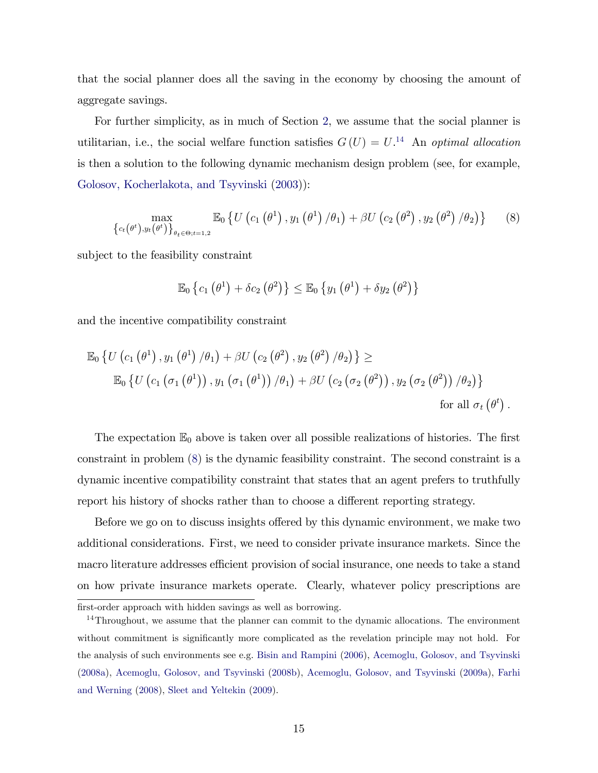that the social planner does all the saving in the economy by choosing the amount of aggregate savings.

For further simplicity, as in much of Section [2,](#page-3-0) we assume that the social planner is utilitarian, i.e., the social welfare function satisfies  $G(U) = U^{14}$  $G(U) = U^{14}$  $G(U) = U^{14}$ . An optimal allocation is then a solution to the following dynamic mechanism design problem (see, for example, [Golosov, Kocherlakota, and Tsyvinski](#page-33-2) [\(2003\)](#page-33-2)):

<span id="page-14-1"></span>
$$
\max_{\left\{c_t(\theta^t), y_t(\theta^t)\right\}_{\theta_t \in \Theta; t=1,2}} \mathbb{E}_0 \left\{ U\left(c_1\left(\theta^1\right), y_1\left(\theta^1\right)/\theta_1\right) + \beta U\left(c_2\left(\theta^2\right), y_2\left(\theta^2\right)/\theta_2\right) \right\} \tag{8}
$$

subject to the feasibility constraint

$$
\mathbb{E}_0\left\{c_1\left(\theta^1\right)+\delta c_2\left(\theta^2\right)\right\}\leq \mathbb{E}_0\left\{y_1\left(\theta^1\right)+\delta y_2\left(\theta^2\right)\right\}
$$

and the incentive compatibility constraint

$$
\mathbb{E}_0 \left\{ U\left(c_1\left(\theta^1\right), y_1\left(\theta^1\right)/\theta_1\right) + \beta U\left(c_2\left(\theta^2\right), y_2\left(\theta^2\right)/\theta_2\right) \right\} \ge \n\mathbb{E}_0 \left\{ U\left(c_1\left(\sigma_1\left(\theta^1\right)\right), y_1\left(\sigma_1\left(\theta^1\right)\right)/\theta_1\right) + \beta U\left(c_2\left(\sigma_2\left(\theta^2\right)\right), y_2\left(\sigma_2\left(\theta^2\right)\right)/\theta_2\right) \right\} \n\text{for all } \sigma_t\left(\theta^t\right).
$$

The expectation  $\mathbb{E}_0$  above is taken over all possible realizations of histories. The first constraint in problem [\(8\)](#page-14-1) is the dynamic feasibility constraint. The second constraint is a dynamic incentive compatibility constraint that states that an agent prefers to truthfully report his history of shocks rather than to choose a different reporting strategy.

Before we go on to discuss insights offered by this dynamic environment, we make two additional considerations. First, we need to consider private insurance markets. Since the macro literature addresses efficient provision of social insurance, one needs to take a stand on how private insurance markets operate. Clearly, whatever policy prescriptions are

<span id="page-14-0"></span>first-order approach with hidden savings as well as borrowing.

<sup>&</sup>lt;sup>14</sup>Throughout, we assume that the planner can commit to the dynamic allocations. The environment without commitment is significantly more complicated as the revelation principle may not hold. For the analysis of such environments see e.g. [Bisin and Rampini](#page-33-5) [\(2006\)](#page-33-5), [Acemoglu, Golosov, and Tsyvinski](#page-32-5) [\(2008a\)](#page-32-5), [Acemoglu, Golosov, and Tsyvinski](#page-32-6) [\(2008b\)](#page-32-6), [Acemoglu, Golosov, and Tsyvinski](#page-32-7) [\(2009a\)](#page-32-7), [Farhi](#page-33-6) [and Werning](#page-33-6) [\(2008\)](#page-33-6), [Sleet and Yeltekin](#page-36-9) [\(2009\)](#page-36-9).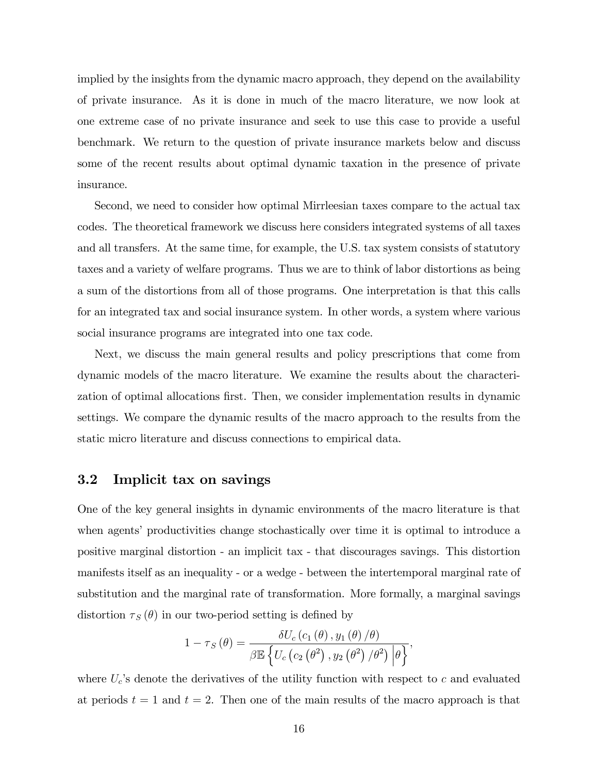implied by the insights from the dynamic macro approach, they depend on the availability of private insurance. As it is done in much of the macro literature, we now look at one extreme case of no private insurance and seek to use this case to provide a useful benchmark. We return to the question of private insurance markets below and discuss some of the recent results about optimal dynamic taxation in the presence of private insurance.

Second, we need to consider how optimal Mirrleesian taxes compare to the actual tax codes. The theoretical framework we discuss here considers integrated systems of all taxes and all transfers. At the same time, for example, the U.S. tax system consists of statutory taxes and a variety of welfare programs. Thus we are to think of labor distortions as being a sum of the distortions from all of those programs. One interpretation is that this calls for an integrated tax and social insurance system. In other words, a system where various social insurance programs are integrated into one tax code.

Next, we discuss the main general results and policy prescriptions that come from dynamic models of the macro literature. We examine the results about the characterization of optimal allocations first. Then, we consider implementation results in dynamic settings. We compare the dynamic results of the macro approach to the results from the static micro literature and discuss connections to empirical data.

#### 3.2 Implicit tax on savings

One of the key general insights in dynamic environments of the macro literature is that when agents' productivities change stochastically over time it is optimal to introduce a positive marginal distortion - an implicit tax - that discourages savings. This distortion manifests itself as an inequality - or a wedge - between the intertemporal marginal rate of substitution and the marginal rate of transformation. More formally, a marginal savings distortion  $\tau_s(\theta)$  in our two-period setting is defined by

$$
1 - \tau_S(\theta) = \frac{\delta U_c(c_1(\theta), y_1(\theta)/\theta)}{\beta \mathbb{E} \left\{ U_c(c_2(\theta^2), y_2(\theta^2)/\theta^2) \Big| \theta \right\}},
$$

where  $U_c$ 's denote the derivatives of the utility function with respect to  $c$  and evaluated at periods  $t = 1$  and  $t = 2$ . Then one of the main results of the macro approach is that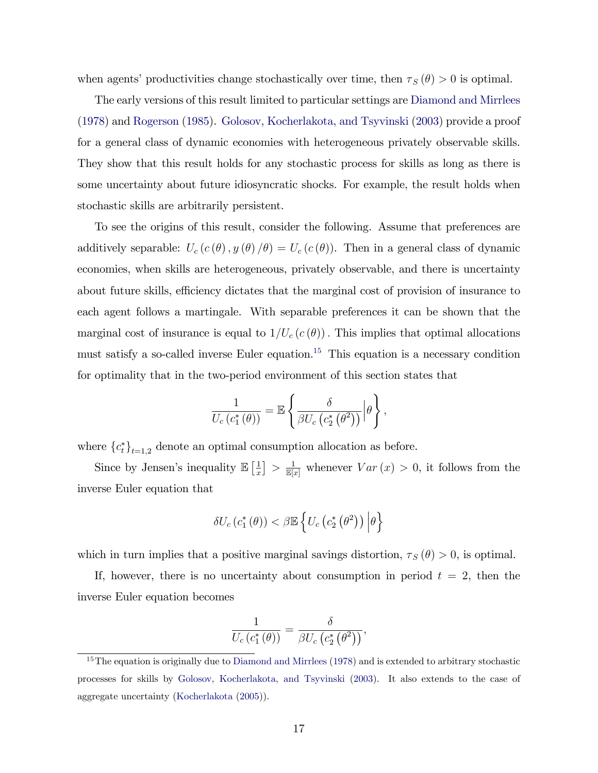when agents' productivities change stochastically over time, then  $\tau_s (\theta) > 0$  is optimal.

The early versions of this result limited to particular settings are [Diamond and Mirrlees](#page-33-1) [\(1978\)](#page-33-1) and [Rogerson](#page-35-9) [\(1985\)](#page-35-9). [Golosov, Kocherlakota, and Tsyvinski](#page-33-2) [\(2003\)](#page-33-2) provide a proof for a general class of dynamic economies with heterogeneous privately observable skills. They show that this result holds for any stochastic process for skills as long as there is some uncertainty about future idiosyncratic shocks. For example, the result holds when stochastic skills are arbitrarily persistent.

To see the origins of this result, consider the following. Assume that preferences are additively separable:  $U_c(c(\theta), y(\theta)/\theta) = U_c(c(\theta))$ . Then in a general class of dynamic economies, when skills are heterogeneous, privately observable, and there is uncertainty about future skills, efficiency dictates that the marginal cost of provision of insurance to each agent follows a martingale. With separable preferences it can be shown that the marginal cost of insurance is equal to  $1/U_c (c (\theta))$ . This implies that optimal allocations must satisfy a so-called inverse Euler equation.[15](#page-16-0) This equation is a necessary condition for optimality that in the two-period environment of this section states that

$$
\frac{1}{U_c\left(c_1^*\left(\theta\right)\right)} = \mathbb{E}\left\{\frac{\delta}{\beta U_c\left(c_2^*\left(\theta^2\right)\right)}\middle|\theta\right\},\right
$$

where  $\{c_t^*\}_{t=1,2}$  denote an optimal consumption allocation as before.

Since by Jensen's inequality  $\mathbb{E}\left[\frac{1}{x}\right]$  $\frac{1}{x}$  >  $\frac{1}{\mathbb{E}[x]}$  whenever  $Var(x) > 0$ , it follows from the inverse Euler equation that

$$
\delta U_c \left( c_1^* \left( \theta \right) \right) < \beta \mathbb{E} \left\{ U_c \left( c_2^* \left( \theta^2 \right) \right) \Big| \theta \right\}
$$

which in turn implies that a positive marginal savings distortion,  $\tau_s(\theta) > 0$ , is optimal.

If, however, there is no uncertainty about consumption in period  $t = 2$ , then the inverse Euler equation becomes

$$
\frac{1}{U_c\left(c_1^*\left(\theta\right)\right)}=\frac{\delta}{\beta U_c\left(c_2^*\left(\theta^2\right)\right)},
$$

<span id="page-16-0"></span><sup>&</sup>lt;sup>15</sup>The equation is originally due to [Diamond and Mirrlees](#page-33-1) [\(1978\)](#page-33-1) and is extended to arbitrary stochastic processes for skills by [Golosov, Kocherlakota, and Tsyvinski](#page-33-2) [\(2003\)](#page-33-2). It also extends to the case of aggregate uncertainty [\(Kocherlakota](#page-35-5) [\(2005\)](#page-35-5)).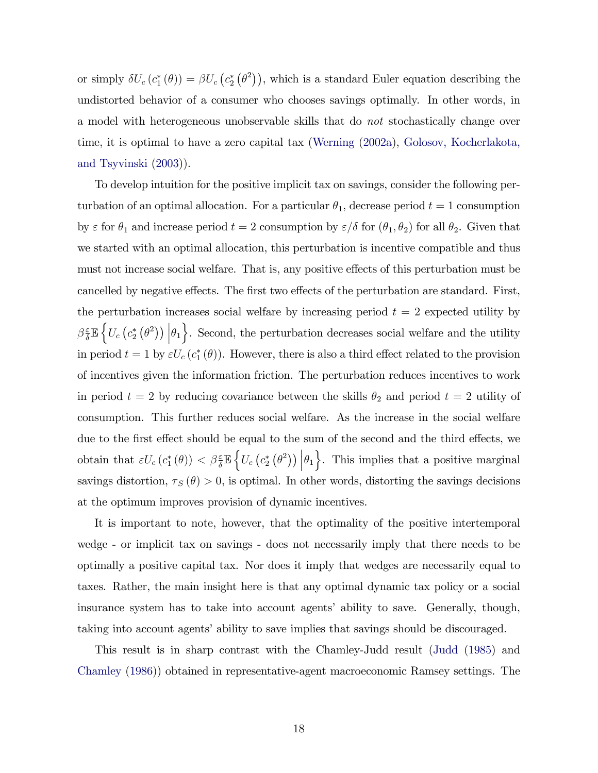or simply  $\delta U_c$   $(c_1^*(\theta)) = \beta U_c$   $(c_2^*(\theta^2))$ , which is a standard Euler equation describing the undistorted behavior of a consumer who chooses savings optimally. In other words, in a model with heterogeneous unobservable skills that do not stochastically change over time, it is optimal to have a zero capital tax [\(Werning](#page-36-2) [\(2002a\)](#page-36-2), [Golosov, Kocherlakota,](#page-33-2) [and Tsyvinski](#page-33-2) [\(2003\)](#page-33-2)).

To develop intuition for the positive implicit tax on savings, consider the following perturbation of an optimal allocation. For a particular  $\theta_1$ , decrease period  $t = 1$  consumption by  $\varepsilon$  for  $\theta_1$  and increase period  $t = 2$  consumption by  $\varepsilon/\delta$  for  $(\theta_1, \theta_2)$  for all  $\theta_2$ . Given that we started with an optimal allocation, this perturbation is incentive compatible and thus must not increase social welfare. That is, any positive effects of this perturbation must be cancelled by negative effects. The first two effects of the perturbation are standard. First, the perturbation increases social welfare by increasing period  $t = 2$  expected utility by  $\beta \frac{\varepsilon}{\delta}$  $\frac{\varepsilon}{\delta} \mathbb{E}$  $\left\{U_c\left(c_2^*\left(\theta^2\right)\right)\bigg|\theta_1\right\}$ . Second, the perturbation decreases social welfare and the utility in period  $t = 1$  by  $\varepsilon U_c$   $(c_1^*(\theta))$ . However, there is also a third effect related to the provision of incentives given the information friction. The perturbation reduces incentives to work in period  $t = 2$  by reducing covariance between the skills  $\theta_2$  and period  $t = 2$  utility of consumption. This further reduces social welfare. As the increase in the social welfare due to the first effect should be equal to the sum of the second and the third effects, we obtain that  $\varepsilon U_c (c_1^*(\theta)) < \beta \frac{\varepsilon}{\delta} \mathbb{E}$  $\left\{U_c\left(c_2^*\left(\theta^2\right)\right)\bigg|\theta_1\right\}$ . This implies that a positive marginal savings distortion,  $\tau_s(\theta) > 0$ , is optimal. In other words, distorting the savings decisions at the optimum improves provision of dynamic incentives.

It is important to note, however, that the optimality of the positive intertemporal wedge - or implicit tax on savings - does not necessarily imply that there needs to be optimally a positive capital tax. Nor does it imply that wedges are necessarily equal to taxes. Rather, the main insight here is that any optimal dynamic tax policy or a social insurance system has to take into account agents' ability to save. Generally, though, taking into account agents' ability to save implies that savings should be discouraged.

This result is in sharp contrast with the Chamley-Judd result [\(Judd](#page-34-7) [\(1985\)](#page-34-7) and [Chamley](#page-33-7) [\(1986\)](#page-33-7)) obtained in representative-agent macroeconomic Ramsey settings. The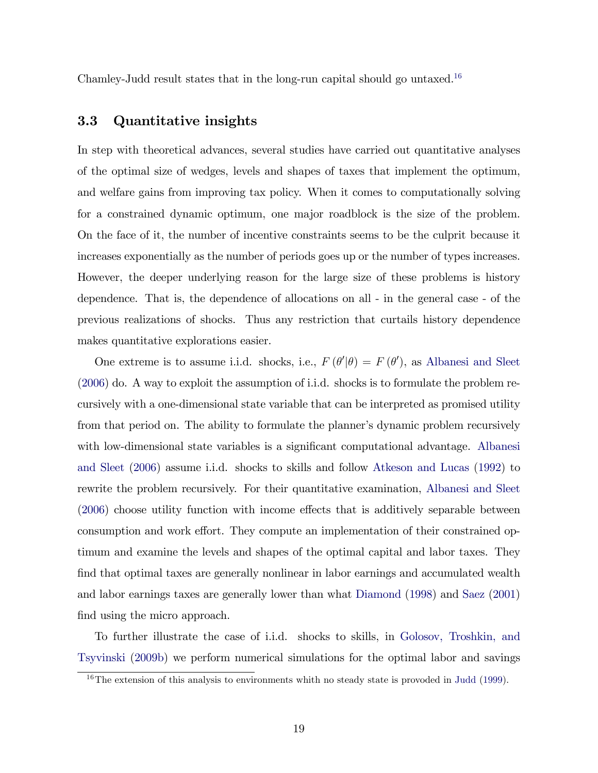Chamley-Judd result states that in the long-run capital should go untaxed.<sup>[16](#page-18-0)</sup>

#### 3.3 Quantitative insights

In step with theoretical advances, several studies have carried out quantitative analyses of the optimal size of wedges, levels and shapes of taxes that implement the optimum, and welfare gains from improving tax policy. When it comes to computationally solving for a constrained dynamic optimum, one major roadblock is the size of the problem. On the face of it, the number of incentive constraints seems to be the culprit because it increases exponentially as the number of periods goes up or the number of types increases. However, the deeper underlying reason for the large size of these problems is history dependence. That is, the dependence of allocations on all - in the general case - of the previous realizations of shocks. Thus any restriction that curtails history dependence makes quantitative explorations easier.

One extreme is to assume i.i.d. shocks, i.e.,  $F(\theta'|\theta) = F(\theta')$ , as [Albanesi and Sleet](#page-32-0) [\(2006\)](#page-32-0) do. A way to exploit the assumption of i.i.d. shocks is to formulate the problem recursively with a one-dimensional state variable that can be interpreted as promised utility from that period on. The ability to formulate the planner's dynamic problem recursively with low-dimensional state variables is a significant computational advantage. [Albanesi](#page-32-0) [and Sleet](#page-32-0) [\(2006\)](#page-32-0) assume i.i.d. shocks to skills and follow [Atkeson and Lucas](#page-32-8) [\(1992\)](#page-32-8) to rewrite the problem recursively. For their quantitative examination, [Albanesi and Sleet](#page-32-0)  $(2006)$  choose utility function with income effects that is additively separable between consumption and work effort. They compute an implementation of their constrained optimum and examine the levels and shapes of the optimal capital and labor taxes. They find that optimal taxes are generally nonlinear in labor earnings and accumulated wealth and labor earnings taxes are generally lower than what [Diamond](#page-33-0) [\(1998\)](#page-33-0) and [Saez](#page-35-3) [\(2001\)](#page-35-3) find using the micro approach.

To further illustrate the case of i.i.d. shocks to skills, in [Golosov, Troshkin, and](#page-34-2) [Tsyvinski](#page-34-2) [\(2009b\)](#page-34-2) we perform numerical simulations for the optimal labor and savings

<span id="page-18-0"></span><sup>&</sup>lt;sup>16</sup>The extension of this analysis to environments whith no steady state is provoded in [Judd](#page-34-8) [\(1999\)](#page-34-8).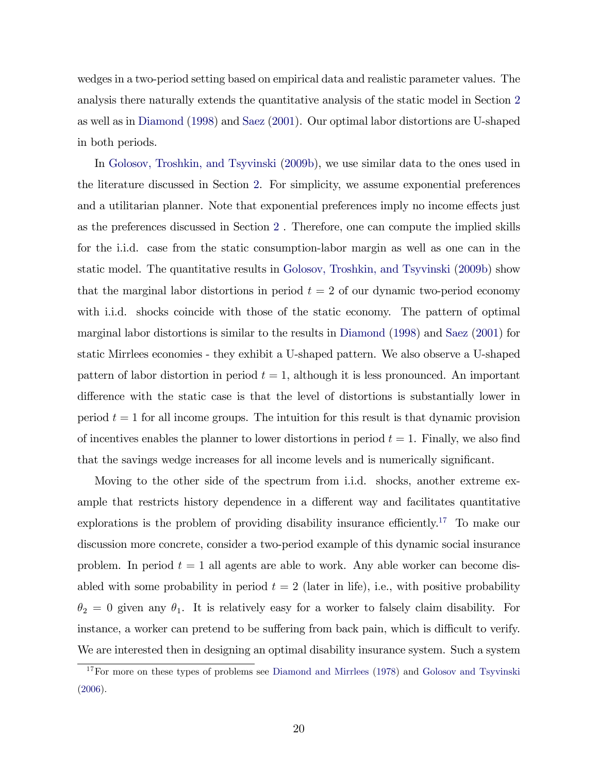wedges in a two-period setting based on empirical data and realistic parameter values. The analysis there naturally extends the quantitative analysis of the static model in Section [2](#page-3-0) as well as in [Diamond](#page-33-0) [\(1998\)](#page-33-0) and [Saez](#page-35-3) [\(2001\)](#page-35-3). Our optimal labor distortions are U-shaped in both periods.

In [Golosov, Troshkin, and Tsyvinski](#page-34-2) [\(2009b\)](#page-34-2), we use similar data to the ones used in the literature discussed in Section [2.](#page-3-0) For simplicity, we assume exponential preferences and a utilitarian planner. Note that exponential preferences imply no income effects just as the preferences discussed in Section [2](#page-3-0) . Therefore, one can compute the implied skills for the i.i.d. case from the static consumption-labor margin as well as one can in the static model. The quantitative results in [Golosov, Troshkin, and Tsyvinski](#page-34-2) [\(2009b\)](#page-34-2) show that the marginal labor distortions in period  $t = 2$  of our dynamic two-period economy with i.i.d. shocks coincide with those of the static economy. The pattern of optimal marginal labor distortions is similar to the results in [Diamond](#page-33-0) [\(1998\)](#page-33-0) and [Saez](#page-35-3) [\(2001\)](#page-35-3) for static Mirrlees economies - they exhibit a U-shaped pattern. We also observe a U-shaped pattern of labor distortion in period  $t = 1$ , although it is less pronounced. An important difference with the static case is that the level of distortions is substantially lower in period  $t = 1$  for all income groups. The intuition for this result is that dynamic provision of incentives enables the planner to lower distortions in period  $t = 1$ . Finally, we also find that the savings wedge increases for all income levels and is numerically significant.

Moving to the other side of the spectrum from i.i.d. shocks, another extreme example that restricts history dependence in a different way and facilitates quantitative explorations is the problem of providing disability insurance efficiently.<sup>[17](#page-19-0)</sup> To make our discussion more concrete, consider a two-period example of this dynamic social insurance problem. In period  $t = 1$  all agents are able to work. Any able worker can become disabled with some probability in period  $t = 2$  (later in life), i.e., with positive probability  $\theta_2 = 0$  given any  $\theta_1$ . It is relatively easy for a worker to falsely claim disability. For instance, a worker can pretend to be suffering from back pain, which is difficult to verify. We are interested then in designing an optimal disability insurance system. Such a system

<span id="page-19-0"></span><sup>&</sup>lt;sup>17</sup>For more on these types of problems see [Diamond and Mirrlees](#page-33-1) [\(1978\)](#page-33-1) and [Golosov and Tsyvinski](#page-34-0) [\(2006\)](#page-34-0).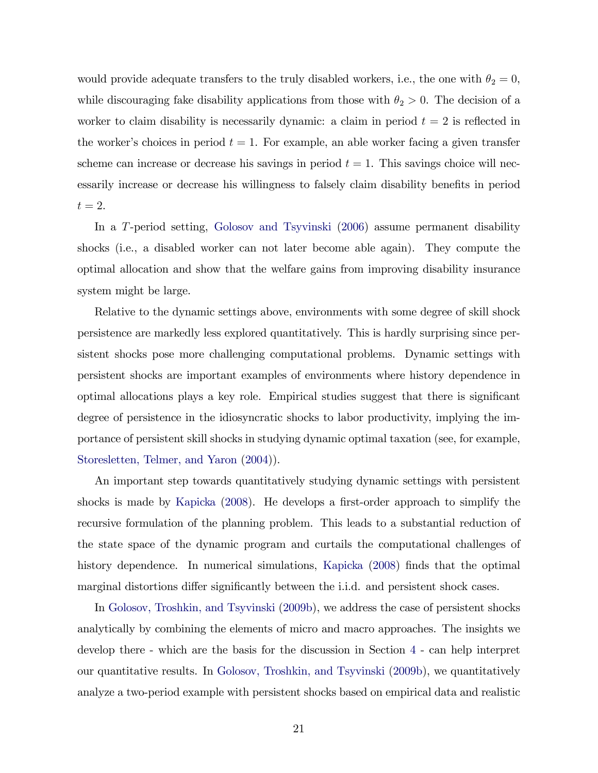would provide adequate transfers to the truly disabled workers, i.e., the one with  $\theta_2 = 0$ , while discouraging fake disability applications from those with  $\theta_2 > 0$ . The decision of a worker to claim disability is necessarily dynamic: a claim in period  $t = 2$  is reflected in the worker's choices in period  $t = 1$ . For example, an able worker facing a given transfer scheme can increase or decrease his savings in period  $t = 1$ . This savings choice will necessarily increase or decrease his willingness to falsely claim disability benefits in period  $t=2.$ 

In a T-period setting, [Golosov and Tsyvinski](#page-34-0) [\(2006\)](#page-34-0) assume permanent disability shocks (i.e., a disabled worker can not later become able again). They compute the optimal allocation and show that the welfare gains from improving disability insurance system might be large.

Relative to the dynamic settings above, environments with some degree of skill shock persistence are markedly less explored quantitatively. This is hardly surprising since persistent shocks pose more challenging computational problems. Dynamic settings with persistent shocks are important examples of environments where history dependence in optimal allocations plays a key role. Empirical studies suggest that there is significant degree of persistence in the idiosyncratic shocks to labor productivity, implying the importance of persistent skill shocks in studying dynamic optimal taxation (see, for example, [Storesletten, Telmer, and Yaron](#page-36-10) [\(2004\)](#page-36-10)).

An important step towards quantitatively studying dynamic settings with persistent shocks is made by [Kapicka](#page-35-10)  $(2008)$ . He develops a first-order approach to simplify the recursive formulation of the planning problem. This leads to a substantial reduction of the state space of the dynamic program and curtails the computational challenges of history dependence. In numerical simulations, [Kapicka](#page-35-10) [\(2008\)](#page-35-10) finds that the optimal marginal distortions differ significantly between the i.i.d. and persistent shock cases.

In [Golosov, Troshkin, and Tsyvinski](#page-34-2) [\(2009b\)](#page-34-2), we address the case of persistent shocks analytically by combining the elements of micro and macro approaches. The insights we develop there - which are the basis for the discussion in Section [4](#page-28-0) - can help interpret our quantitative results. In [Golosov, Troshkin, and Tsyvinski](#page-34-2) [\(2009b\)](#page-34-2), we quantitatively analyze a two-period example with persistent shocks based on empirical data and realistic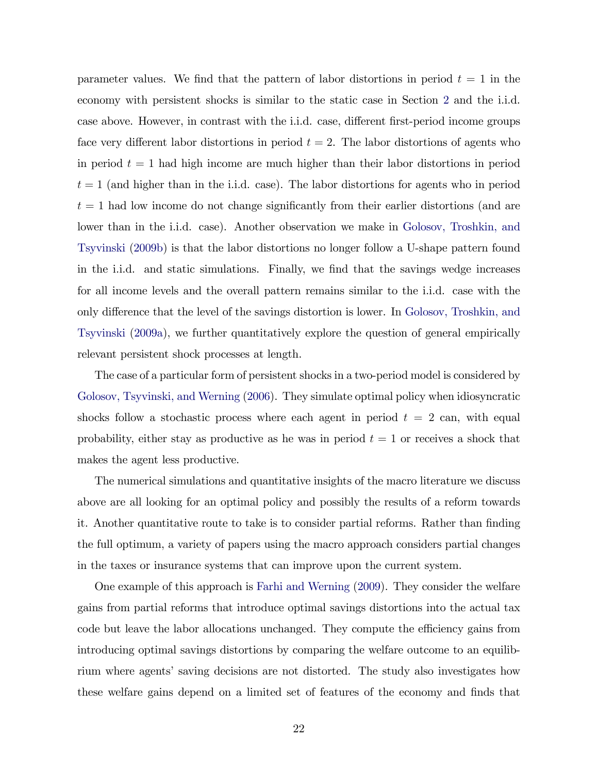parameter values. We find that the pattern of labor distortions in period  $t = 1$  in the economy with persistent shocks is similar to the static case in Section [2](#page-3-0) and the i.i.d. case above. However, in contrast with the i.i.d. case, different first-period income groups face very different labor distortions in period  $t = 2$ . The labor distortions of agents who in period  $t = 1$  had high income are much higher than their labor distortions in period  $t = 1$  (and higher than in the i.i.d. case). The labor distortions for agents who in period  $t = 1$  had low income do not change significantly from their earlier distortions (and are lower than in the i.i.d. case). Another observation we make in [Golosov, Troshkin, and](#page-34-2) [Tsyvinski](#page-34-2) [\(2009b\)](#page-34-2) is that the labor distortions no longer follow a U-shape pattern found in the i.i.d. and static simulations. Finally, we find that the savings wedge increases for all income levels and the overall pattern remains similar to the i.i.d. case with the only difference that the level of the savings distortion is lower. In [Golosov, Troshkin, and](#page-34-9) [Tsyvinski](#page-34-9) [\(2009a\)](#page-34-9), we further quantitatively explore the question of general empirically relevant persistent shock processes at length.

The case of a particular form of persistent shocks in a two-period model is considered by [Golosov, Tsyvinski, and Werning](#page-34-1) [\(2006\)](#page-34-1). They simulate optimal policy when idiosyncratic shocks follow a stochastic process where each agent in period  $t = 2$  can, with equal probability, either stay as productive as he was in period  $t = 1$  or receives a shock that makes the agent less productive.

The numerical simulations and quantitative insights of the macro literature we discuss above are all looking for an optimal policy and possibly the results of a reform towards it. Another quantitative route to take is to consider partial reforms. Rather than finding the full optimum, a variety of papers using the macro approach considers partial changes in the taxes or insurance systems that can improve upon the current system.

One example of this approach is [Farhi and Werning](#page-33-8) [\(2009\)](#page-33-8). They consider the welfare gains from partial reforms that introduce optimal savings distortions into the actual tax code but leave the labor allocations unchanged. They compute the efficiency gains from introducing optimal savings distortions by comparing the welfare outcome to an equilibrium where agents' saving decisions are not distorted. The study also investigates how these welfare gains depend on a limited set of features of the economy and finds that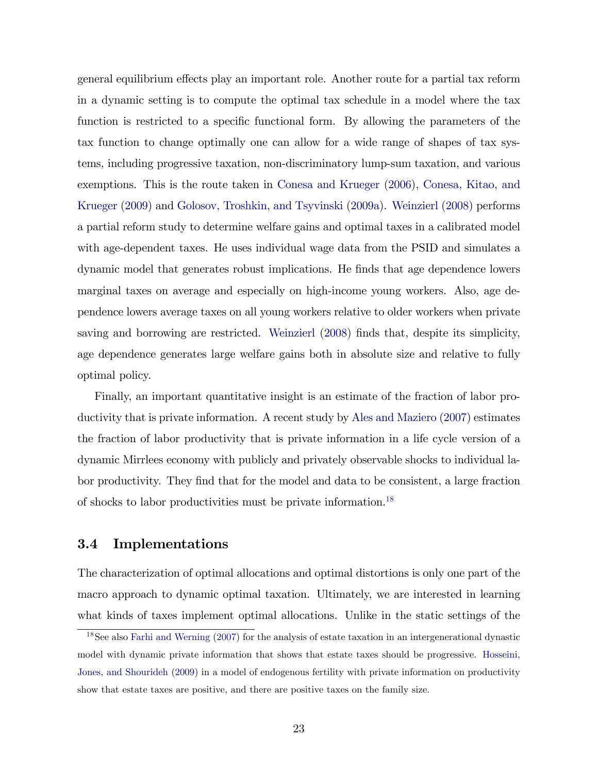general equilibrium effects play an important role. Another route for a partial tax reform in a dynamic setting is to compute the optimal tax schedule in a model where the tax function is restricted to a specific functional form. By allowing the parameters of the tax function to change optimally one can allow for a wide range of shapes of tax systems, including progressive taxation, non-discriminatory lump-sum taxation, and various exemptions. This is the route taken in [Conesa and Krueger](#page-33-9) [\(2006\)](#page-33-9), [Conesa, Kitao, and](#page-33-10) [Krueger](#page-33-10) [\(2009\)](#page-33-10) and [Golosov, Troshkin, and Tsyvinski](#page-34-9) [\(2009a\)](#page-34-9). [Weinzierl](#page-36-6) [\(2008\)](#page-36-6) performs a partial reform study to determine welfare gains and optimal taxes in a calibrated model with age-dependent taxes. He uses individual wage data from the PSID and simulates a dynamic model that generates robust implications. He Önds that age dependence lowers marginal taxes on average and especially on high-income young workers. Also, age dependence lowers average taxes on all young workers relative to older workers when private saving and borrowing are restricted. [Weinzierl](#page-36-6) [\(2008\)](#page-36-6) finds that, despite its simplicity, age dependence generates large welfare gains both in absolute size and relative to fully optimal policy.

Finally, an important quantitative insight is an estimate of the fraction of labor productivity that is private information. A recent study by [Ales and Maziero](#page-32-9) [\(2007\)](#page-32-9) estimates the fraction of labor productivity that is private information in a life cycle version of a dynamic Mirrlees economy with publicly and privately observable shocks to individual labor productivity. They find that for the model and data to be consistent, a large fraction of shocks to labor productivities must be private information.[18](#page-22-0)

### 3.4 Implementations

The characterization of optimal allocations and optimal distortions is only one part of the macro approach to dynamic optimal taxation. Ultimately, we are interested in learning what kinds of taxes implement optimal allocations. Unlike in the static settings of the

<span id="page-22-0"></span><sup>18</sup>See also [Farhi and Werning](#page-33-11) [\(2007\)](#page-33-11) for the analysis of estate taxation in an intergenerational dynastic model with dynamic private information that shows that estate taxes should be progressive. [Hosseini,](#page-34-10) [Jones, and Shourideh](#page-34-10) [\(2009\)](#page-34-10) in a model of endogenous fertility with private information on productivity show that estate taxes are positive, and there are positive taxes on the family size.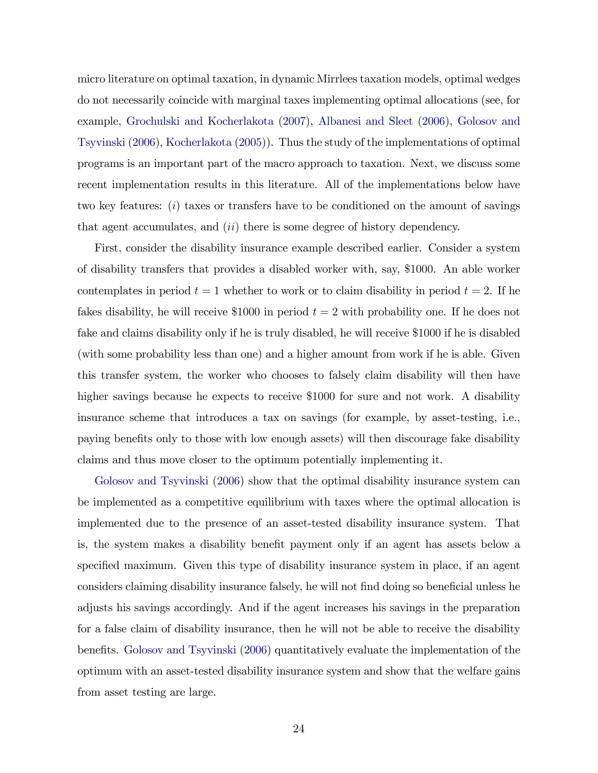micro literature on optimal taxation, in dynamic Mirrlees taxation models, optimal wedges do not necessarily coincide with marginal taxes implementing optimal allocations (see, for example, [Grochulski and Kocherlakota](#page-34-11) [\(2007\)](#page-34-11), [Albanesi and Sleet](#page-32-0) [\(2006\)](#page-32-0), [Golosov and](#page-34-0) [Tsyvinski](#page-34-0) [\(2006\)](#page-34-0), [Kocherlakota](#page-35-5) [\(2005\)](#page-35-5)). Thus the study of the implementations of optimal programs is an important part of the macro approach to taxation. Next, we discuss some recent implementation results in this literature. All of the implementations below have two key features:  $(i)$  taxes or transfers have to be conditioned on the amount of savings that agent accumulates, and (ii) there is some degree of history dependency.

First, consider the disability insurance example described earlier. Consider a system of disability transfers that provides a disabled worker with, say, \$1000. An able worker contemplates in period  $t = 1$  whether to work or to claim disability in period  $t = 2$ . If he fakes disability, he will receive \$1000 in period  $t = 2$  with probability one. If he does not fake and claims disability only if he is truly disabled, he will receive \$1000 if he is disabled (with some probability less than one) and a higher amount from work if he is able. Given this transfer system, the worker who chooses to falsely claim disability will then have higher savings because he expects to receive \$1000 for sure and not work. A disability insurance scheme that introduces a tax on savings (for example, by asset-testing, i.e., paying benefits only to those with low enough assets) will then discourage fake disability claims and thus move closer to the optimum potentially implementing it.

[Golosov and Tsyvinski](#page-34-0) [\(2006\)](#page-34-0) show that the optimal disability insurance system can be implemented as a competitive equilibrium with taxes where the optimal allocation is implemented due to the presence of an asset-tested disability insurance system. That is, the system makes a disability benefit payment only if an agent has assets below a specified maximum. Given this type of disability insurance system in place, if an agent considers claiming disability insurance falsely, he will not find doing so beneficial unless he adjusts his savings accordingly. And if the agent increases his savings in the preparation for a false claim of disability insurance, then he will not be able to receive the disability benefits. [Golosov and Tsyvinski](#page-34-0) [\(2006\)](#page-34-0) quantitatively evaluate the implementation of the optimum with an asset-tested disability insurance system and show that the welfare gains from asset testing are large.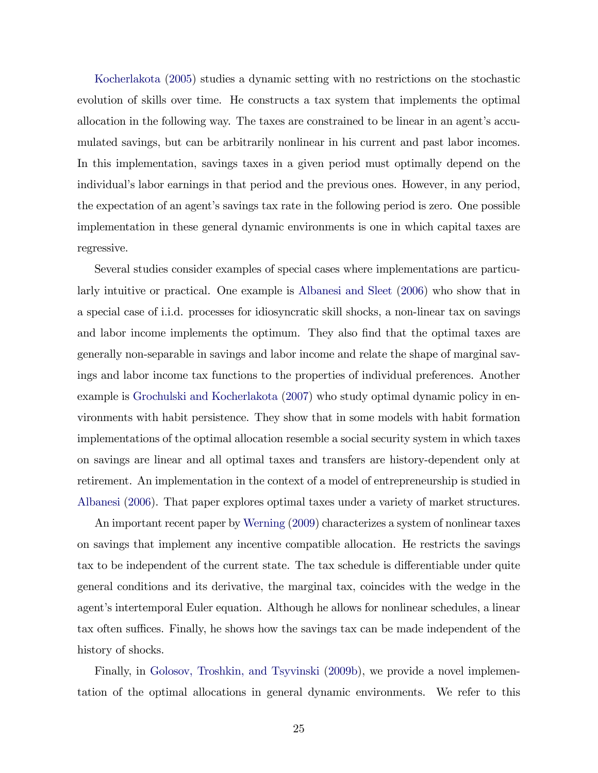[Kocherlakota](#page-35-5) [\(2005\)](#page-35-5) studies a dynamic setting with no restrictions on the stochastic evolution of skills over time. He constructs a tax system that implements the optimal allocation in the following way. The taxes are constrained to be linear in an agent's accumulated savings, but can be arbitrarily nonlinear in his current and past labor incomes. In this implementation, savings taxes in a given period must optimally depend on the individual's labor earnings in that period and the previous ones. However, in any period, the expectation of an agent's savings tax rate in the following period is zero. One possible implementation in these general dynamic environments is one in which capital taxes are regressive.

Several studies consider examples of special cases where implementations are particularly intuitive or practical. One example is [Albanesi and Sleet](#page-32-0) [\(2006\)](#page-32-0) who show that in a special case of i.i.d. processes for idiosyncratic skill shocks, a non-linear tax on savings and labor income implements the optimum. They also find that the optimal taxes are generally non-separable in savings and labor income and relate the shape of marginal savings and labor income tax functions to the properties of individual preferences. Another example is [Grochulski and Kocherlakota](#page-34-11) [\(2007\)](#page-34-11) who study optimal dynamic policy in environments with habit persistence. They show that in some models with habit formation implementations of the optimal allocation resemble a social security system in which taxes on savings are linear and all optimal taxes and transfers are history-dependent only at retirement. An implementation in the context of a model of entrepreneurship is studied in [Albanesi](#page-32-10) [\(2006\)](#page-32-10). That paper explores optimal taxes under a variety of market structures.

An important recent paper by [Werning](#page-36-11) [\(2009\)](#page-36-11) characterizes a system of nonlinear taxes on savings that implement any incentive compatible allocation. He restricts the savings tax to be independent of the current state. The tax schedule is differentiable under quite general conditions and its derivative, the marginal tax, coincides with the wedge in the agent's intertemporal Euler equation. Although he allows for nonlinear schedules, a linear tax often suffices. Finally, he shows how the savings tax can be made independent of the history of shocks.

Finally, in [Golosov, Troshkin, and Tsyvinski](#page-34-2) [\(2009b\)](#page-34-2), we provide a novel implementation of the optimal allocations in general dynamic environments. We refer to this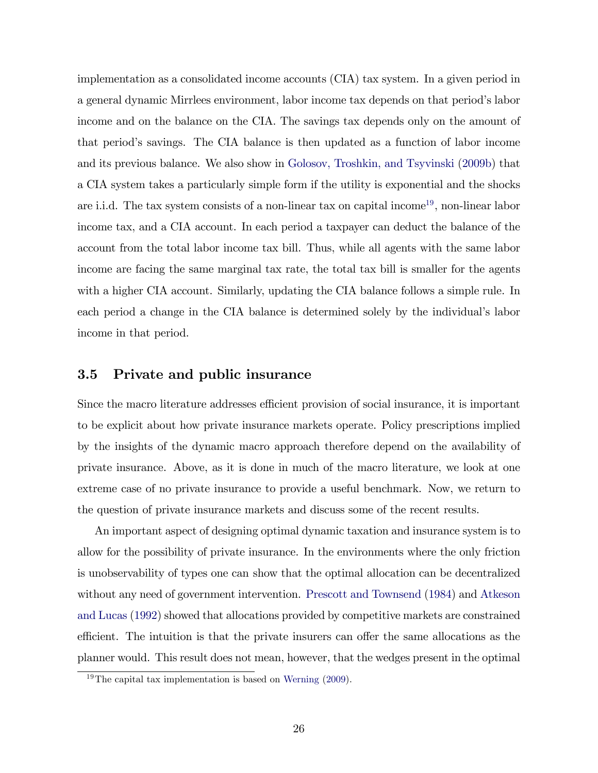implementation as a consolidated income accounts (CIA) tax system. In a given period in a general dynamic Mirrlees environment, labor income tax depends on that period's labor income and on the balance on the CIA. The savings tax depends only on the amount of that periodís savings. The CIA balance is then updated as a function of labor income and its previous balance. We also show in [Golosov, Troshkin, and Tsyvinski](#page-34-2) [\(2009b\)](#page-34-2) that a CIA system takes a particularly simple form if the utility is exponential and the shocks are i.i.d. The tax system consists of a non-linear tax on capital income<sup>[19](#page-25-0)</sup>, non-linear labor income tax, and a CIA account. In each period a taxpayer can deduct the balance of the account from the total labor income tax bill. Thus, while all agents with the same labor income are facing the same marginal tax rate, the total tax bill is smaller for the agents with a higher CIA account. Similarly, updating the CIA balance follows a simple rule. In each period a change in the CIA balance is determined solely by the individual's labor income in that period.

#### 3.5 Private and public insurance

Since the macro literature addresses efficient provision of social insurance, it is important to be explicit about how private insurance markets operate. Policy prescriptions implied by the insights of the dynamic macro approach therefore depend on the availability of private insurance. Above, as it is done in much of the macro literature, we look at one extreme case of no private insurance to provide a useful benchmark. Now, we return to the question of private insurance markets and discuss some of the recent results.

An important aspect of designing optimal dynamic taxation and insurance system is to allow for the possibility of private insurance. In the environments where the only friction is unobservability of types one can show that the optimal allocation can be decentralized without any need of government intervention. [Prescott and Townsend](#page-35-11) [\(1984\)](#page-35-11) and [Atkeson](#page-32-8) [and Lucas](#page-32-8) [\(1992\)](#page-32-8) showed that allocations provided by competitive markets are constrained efficient. The intuition is that the private insurers can offer the same allocations as the planner would. This result does not mean, however, that the wedges present in the optimal

<span id="page-25-0"></span><sup>&</sup>lt;sup>19</sup>The capital tax implementation is based on [Werning](#page-36-11)  $(2009)$ .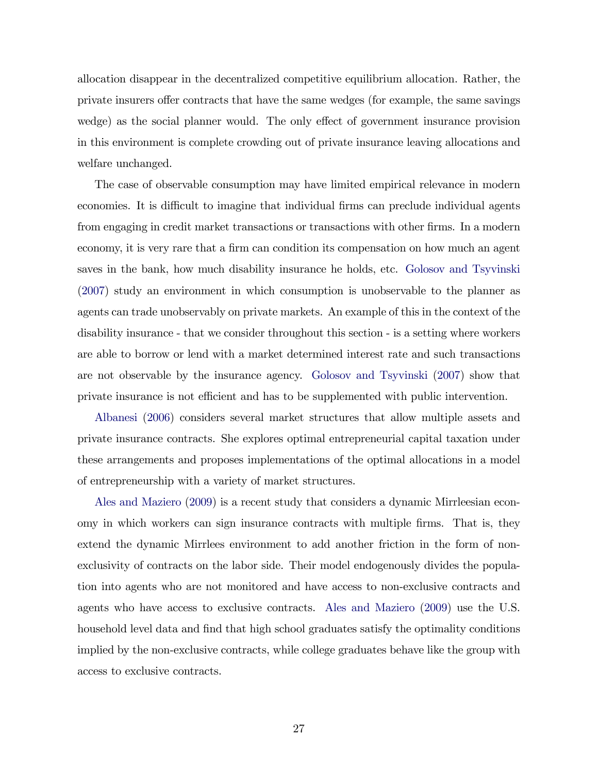allocation disappear in the decentralized competitive equilibrium allocation. Rather, the private insurers offer contracts that have the same wedges (for example, the same savings wedge) as the social planner would. The only effect of government insurance provision in this environment is complete crowding out of private insurance leaving allocations and welfare unchanged.

The case of observable consumption may have limited empirical relevance in modern economies. It is difficult to imagine that individual firms can preclude individual agents from engaging in credit market transactions or transactions with other firms. In a modern economy, it is very rare that a firm can condition its compensation on how much an agent saves in the bank, how much disability insurance he holds, etc. [Golosov and Tsyvinski](#page-34-6) [\(2007\)](#page-34-6) study an environment in which consumption is unobservable to the planner as agents can trade unobservably on private markets. An example of this in the context of the disability insurance - that we consider throughout this section - is a setting where workers are able to borrow or lend with a market determined interest rate and such transactions are not observable by the insurance agency. [Golosov and Tsyvinski](#page-34-6) [\(2007\)](#page-34-6) show that private insurance is not efficient and has to be supplemented with public intervention.

[Albanesi](#page-32-10) [\(2006\)](#page-32-10) considers several market structures that allow multiple assets and private insurance contracts. She explores optimal entrepreneurial capital taxation under these arrangements and proposes implementations of the optimal allocations in a model of entrepreneurship with a variety of market structures.

[Ales and Maziero](#page-32-11) [\(2009\)](#page-32-11) is a recent study that considers a dynamic Mirrleesian economy in which workers can sign insurance contracts with multiple Örms. That is, they extend the dynamic Mirrlees environment to add another friction in the form of nonexclusivity of contracts on the labor side. Their model endogenously divides the population into agents who are not monitored and have access to non-exclusive contracts and agents who have access to exclusive contracts. [Ales and Maziero](#page-32-11) [\(2009\)](#page-32-11) use the U.S. household level data and find that high school graduates satisfy the optimality conditions implied by the non-exclusive contracts, while college graduates behave like the group with access to exclusive contracts.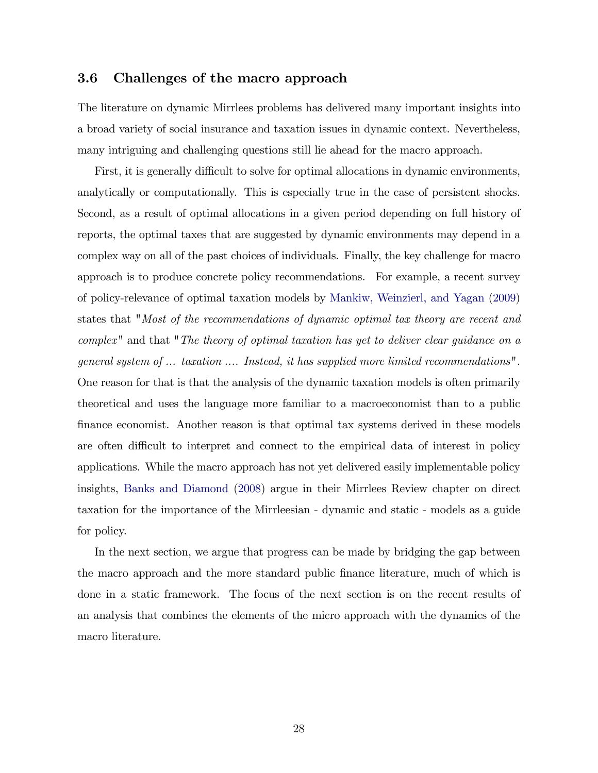#### 3.6 Challenges of the macro approach

The literature on dynamic Mirrlees problems has delivered many important insights into a broad variety of social insurance and taxation issues in dynamic context. Nevertheless, many intriguing and challenging questions still lie ahead for the macro approach.

First, it is generally difficult to solve for optimal allocations in dynamic environments, analytically or computationally. This is especially true in the case of persistent shocks. Second, as a result of optimal allocations in a given period depending on full history of reports, the optimal taxes that are suggested by dynamic environments may depend in a complex way on all of the past choices of individuals. Finally, the key challenge for macro approach is to produce concrete policy recommendations. For example, a recent survey of policy-relevance of optimal taxation models by [Mankiw, Weinzierl, and Yagan](#page-35-12) [\(2009\)](#page-35-12) states that "Most of the recommendations of dynamic optimal tax theory are recent and complex" and that "The theory of optimal taxation has yet to deliver clear guidance on a general system of ... taxation .... Instead, it has supplied more limited recommendations". One reason for that is that the analysis of the dynamic taxation models is often primarily theoretical and uses the language more familiar to a macroeconomist than to a public finance economist. Another reason is that optimal tax systems derived in these models are often difficult to interpret and connect to the empirical data of interest in policy applications. While the macro approach has not yet delivered easily implementable policy insights, [Banks and Diamond](#page-32-2) [\(2008\)](#page-32-2) argue in their Mirrlees Review chapter on direct taxation for the importance of the Mirrleesian - dynamic and static - models as a guide for policy.

In the next section, we argue that progress can be made by bridging the gap between the macro approach and the more standard public finance literature, much of which is done in a static framework. The focus of the next section is on the recent results of an analysis that combines the elements of the micro approach with the dynamics of the macro literature.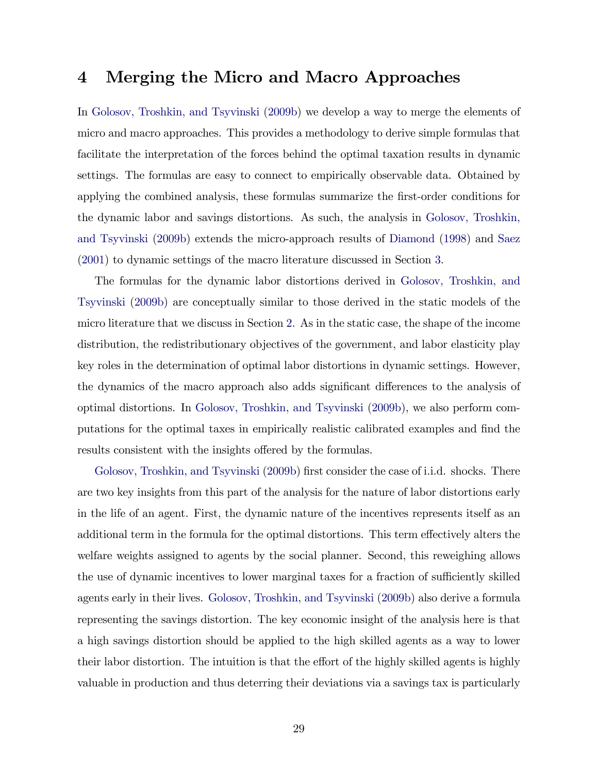## <span id="page-28-0"></span>4 Merging the Micro and Macro Approaches

In [Golosov, Troshkin, and Tsyvinski](#page-34-2) [\(2009b\)](#page-34-2) we develop a way to merge the elements of micro and macro approaches. This provides a methodology to derive simple formulas that facilitate the interpretation of the forces behind the optimal taxation results in dynamic settings. The formulas are easy to connect to empirically observable data. Obtained by applying the combined analysis, these formulas summarize the first-order conditions for the dynamic labor and savings distortions. As such, the analysis in [Golosov, Troshkin,](#page-34-2) [and Tsyvinski](#page-34-2) [\(2009b\)](#page-34-2) extends the micro-approach results of [Diamond](#page-33-0) [\(1998\)](#page-33-0) and [Saez](#page-35-3) [\(2001\)](#page-35-3) to dynamic settings of the macro literature discussed in Section [3.](#page-12-0)

The formulas for the dynamic labor distortions derived in [Golosov, Troshkin, and](#page-34-2) [Tsyvinski](#page-34-2) [\(2009b\)](#page-34-2) are conceptually similar to those derived in the static models of the micro literature that we discuss in Section [2.](#page-3-0) As in the static case, the shape of the income distribution, the redistributionary objectives of the government, and labor elasticity play key roles in the determination of optimal labor distortions in dynamic settings. However, the dynamics of the macro approach also adds significant differences to the analysis of optimal distortions. In [Golosov, Troshkin, and Tsyvinski](#page-34-2) [\(2009b\)](#page-34-2), we also perform computations for the optimal taxes in empirically realistic calibrated examples and find the results consistent with the insights offered by the formulas.

[Golosov, Troshkin, and Tsyvinski](#page-34-2) [\(2009b\)](#page-34-2) first consider the case of i.i.d. shocks. There are two key insights from this part of the analysis for the nature of labor distortions early in the life of an agent. First, the dynamic nature of the incentives represents itself as an additional term in the formula for the optimal distortions. This term effectively alters the welfare weights assigned to agents by the social planner. Second, this reweighing allows the use of dynamic incentives to lower marginal taxes for a fraction of sufficiently skilled agents early in their lives. [Golosov, Troshkin, and Tsyvinski](#page-34-2) [\(2009b\)](#page-34-2) also derive a formula representing the savings distortion. The key economic insight of the analysis here is that a high savings distortion should be applied to the high skilled agents as a way to lower their labor distortion. The intuition is that the effort of the highly skilled agents is highly valuable in production and thus deterring their deviations via a savings tax is particularly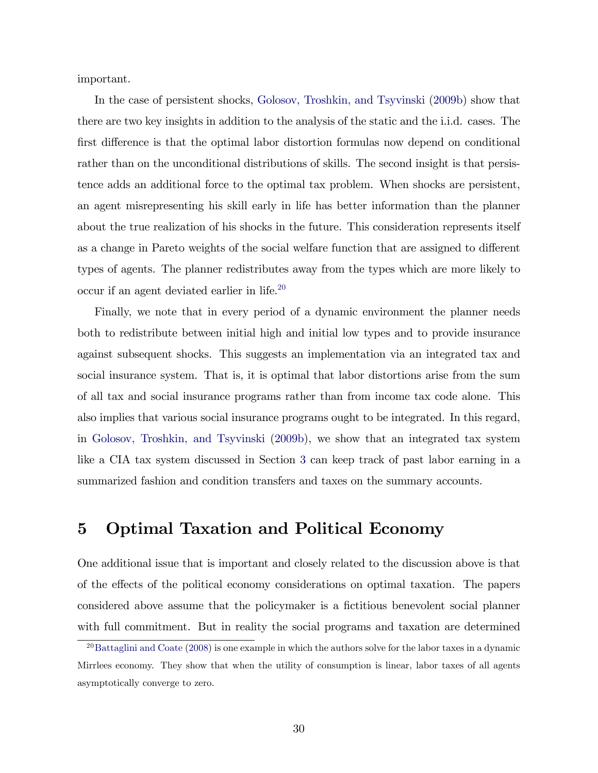important.

In the case of persistent shocks, [Golosov, Troshkin, and Tsyvinski](#page-34-2) [\(2009b\)](#page-34-2) show that there are two key insights in addition to the analysis of the static and the i.i.d. cases. The first difference is that the optimal labor distortion formulas now depend on conditional rather than on the unconditional distributions of skills. The second insight is that persistence adds an additional force to the optimal tax problem. When shocks are persistent, an agent misrepresenting his skill early in life has better information than the planner about the true realization of his shocks in the future. This consideration represents itself as a change in Pareto weights of the social welfare function that are assigned to different types of agents. The planner redistributes away from the types which are more likely to occur if an agent deviated earlier in life.[20](#page-29-1)

Finally, we note that in every period of a dynamic environment the planner needs both to redistribute between initial high and initial low types and to provide insurance against subsequent shocks. This suggests an implementation via an integrated tax and social insurance system. That is, it is optimal that labor distortions arise from the sum of all tax and social insurance programs rather than from income tax code alone. This also implies that various social insurance programs ought to be integrated. In this regard, in [Golosov, Troshkin, and Tsyvinski](#page-34-2) [\(2009b\)](#page-34-2), we show that an integrated tax system like a CIA tax system discussed in Section [3](#page-12-0) can keep track of past labor earning in a summarized fashion and condition transfers and taxes on the summary accounts.

## <span id="page-29-0"></span>5 Optimal Taxation and Political Economy

One additional issue that is important and closely related to the discussion above is that of the effects of the political economy considerations on optimal taxation. The papers considered above assume that the policymaker is a fictitious benevolent social planner with full commitment. But in reality the social programs and taxation are determined

<span id="page-29-1"></span> $^{20}$ [Battaglini and Coate](#page-33-12) [\(2008\)](#page-33-12) is one example in which the authors solve for the labor taxes in a dynamic Mirrlees economy. They show that when the utility of consumption is linear, labor taxes of all agents asymptotically converge to zero.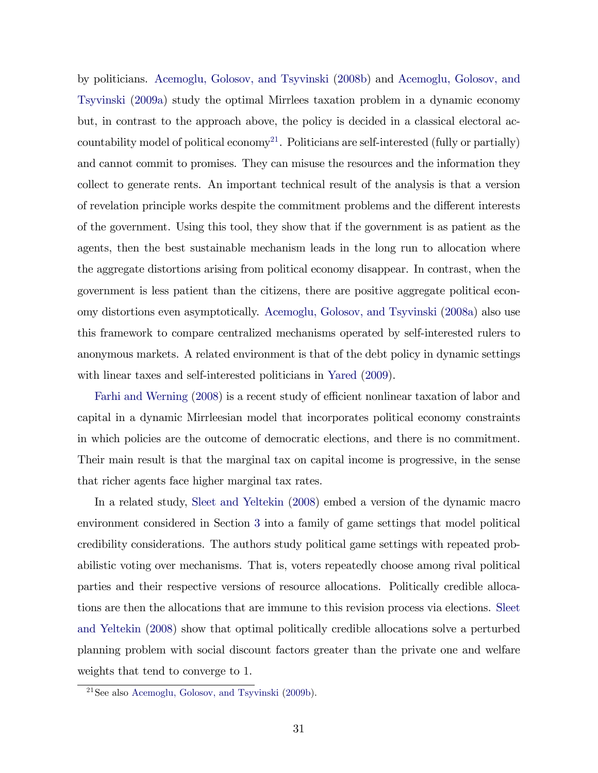by politicians. [Acemoglu, Golosov, and Tsyvinski](#page-32-6) [\(2008b\)](#page-32-6) and [Acemoglu, Golosov, and](#page-32-7) [Tsyvinski](#page-32-7) [\(2009a\)](#page-32-7) study the optimal Mirrlees taxation problem in a dynamic economy but, in contrast to the approach above, the policy is decided in a classical electoral ac-countability model of political economy<sup>[21](#page-30-0)</sup>. Politicians are self-interested (fully or partially) and cannot commit to promises. They can misuse the resources and the information they collect to generate rents. An important technical result of the analysis is that a version of revelation principle works despite the commitment problems and the different interests of the government. Using this tool, they show that if the government is as patient as the agents, then the best sustainable mechanism leads in the long run to allocation where the aggregate distortions arising from political economy disappear. In contrast, when the government is less patient than the citizens, there are positive aggregate political economy distortions even asymptotically. [Acemoglu, Golosov, and Tsyvinski](#page-32-5) [\(2008a\)](#page-32-5) also use this framework to compare centralized mechanisms operated by self-interested rulers to anonymous markets. A related environment is that of the debt policy in dynamic settings with linear taxes and self-interested politicians in [Yared](#page-36-12) [\(2009\)](#page-36-12).

[Farhi and Werning](#page-33-6) [\(2008\)](#page-33-6) is a recent study of efficient nonlinear taxation of labor and capital in a dynamic Mirrleesian model that incorporates political economy constraints in which policies are the outcome of democratic elections, and there is no commitment. Their main result is that the marginal tax on capital income is progressive, in the sense that richer agents face higher marginal tax rates.

In a related study, [Sleet and Yeltekin](#page-36-13) [\(2008\)](#page-36-13) embed a version of the dynamic macro environment considered in Section [3](#page-12-0) into a family of game settings that model political credibility considerations. The authors study political game settings with repeated probabilistic voting over mechanisms. That is, voters repeatedly choose among rival political parties and their respective versions of resource allocations. Politically credible allocations are then the allocations that are immune to this revision process via elections. [Sleet](#page-36-13) [and Yeltekin](#page-36-13) [\(2008\)](#page-36-13) show that optimal politically credible allocations solve a perturbed planning problem with social discount factors greater than the private one and welfare weights that tend to converge to 1.

<span id="page-30-0"></span><sup>21</sup>See also [Acemoglu, Golosov, and Tsyvinski](#page-32-12) [\(2009b\)](#page-32-12).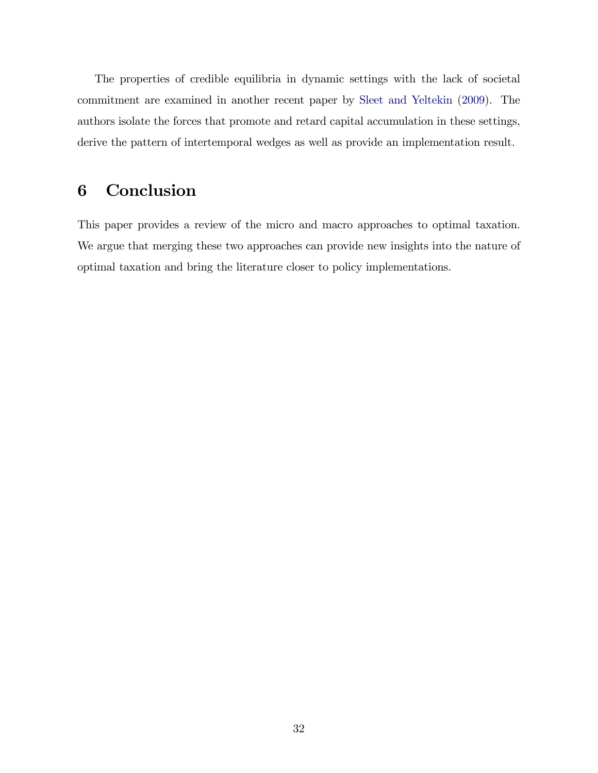The properties of credible equilibria in dynamic settings with the lack of societal commitment are examined in another recent paper by [Sleet and Yeltekin](#page-36-9) [\(2009\)](#page-36-9). The authors isolate the forces that promote and retard capital accumulation in these settings, derive the pattern of intertemporal wedges as well as provide an implementation result.

## <span id="page-31-0"></span>6 Conclusion

This paper provides a review of the micro and macro approaches to optimal taxation. We argue that merging these two approaches can provide new insights into the nature of optimal taxation and bring the literature closer to policy implementations.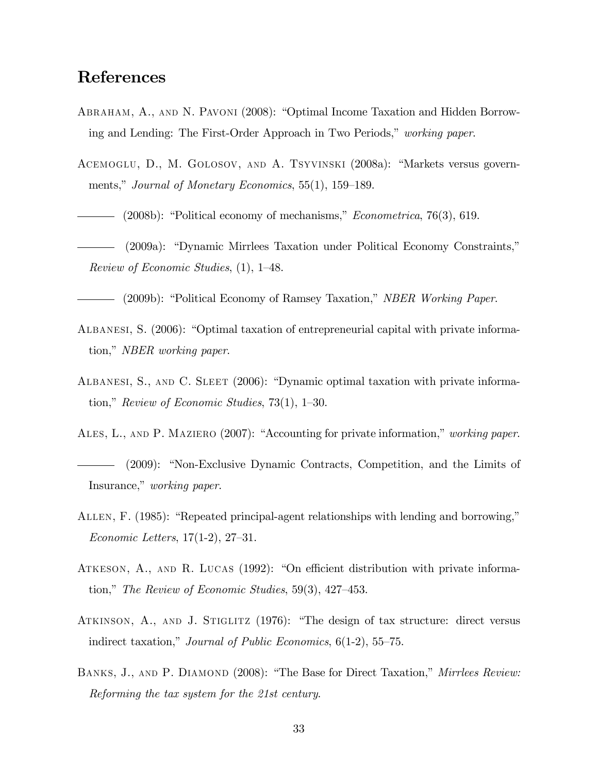## References

- <span id="page-32-4"></span>ABRAHAM, A., AND N. PAVONI (2008): "Optimal Income Taxation and Hidden Borrowing and Lending: The First-Order Approach in Two Periods," working paper.
- <span id="page-32-5"></span>ACEMOGLU, D., M. GOLOSOV, AND A. TSYVINSKI (2008a): "Markets versus governments," Journal of Monetary Economics,  $55(1)$ ,  $159-189$ .
- <span id="page-32-6"></span> $-$  (2008b): "Political economy of mechanisms," *Econometrica*, 76(3), 619.
- <span id="page-32-7"></span>(2009a): "Dynamic Mirrlees Taxation under Political Economy Constraints," Review of Economic Studies,  $(1)$ , 1–48.
- <span id="page-32-12"></span>(2009b): "Political Economy of Ramsey Taxation," NBER Working Paper.
- <span id="page-32-10"></span>ALBANESI, S. (2006): "Optimal taxation of entrepreneurial capital with private information," NBER working paper.
- <span id="page-32-0"></span>ALBANESI, S., AND C. SLEET (2006): "Dynamic optimal taxation with private information," Review of Economic Studies, 73(1), 1–30.
- <span id="page-32-9"></span>ALES, L., AND P. MAZIERO  $(2007)$ : "Accounting for private information," working paper.
- <span id="page-32-11"></span> $(2009)$ : "Non-Exclusive Dynamic Contracts, Competition, and the Limits of Insurance," working paper.
- <span id="page-32-3"></span>ALLEN, F. (1985): "Repeated principal-agent relationships with lending and borrowing," Economic Letters,  $17(1-2)$ ,  $27-31$ .
- <span id="page-32-8"></span>ATKESON, A., AND R. LUCAS  $(1992)$ : "On efficient distribution with private information," The Review of Economic Studies,  $59(3)$ ,  $427-453$ .
- <span id="page-32-1"></span>ATKINSON, A., AND J. STIGLITZ  $(1976)$ : "The design of tax structure: direct versus indirect taxation," Journal of Public Economics,  $6(1-2)$ , 55–75.
- <span id="page-32-2"></span>BANKS, J., AND P. DIAMOND (2008): "The Base for Direct Taxation," Mirrlees Review: Reforming the tax system for the 21st century.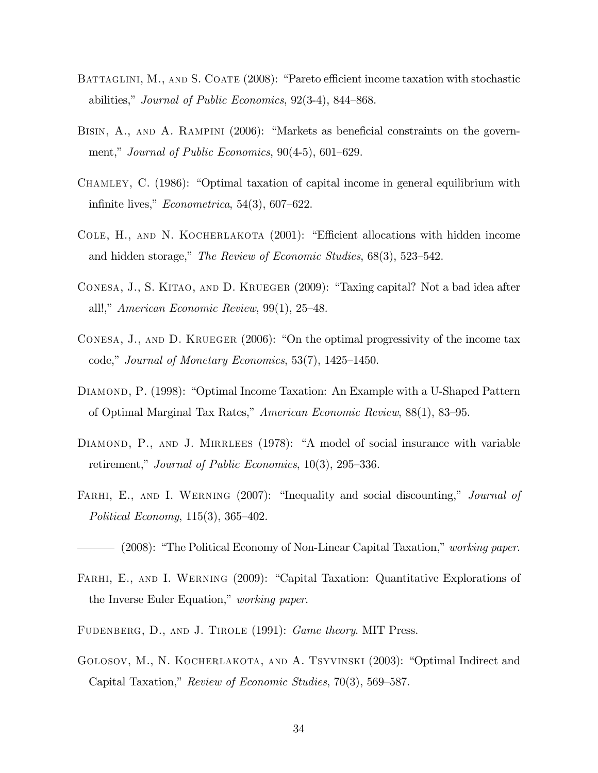- <span id="page-33-12"></span>BATTAGLINI, M., AND S. COATE (2008): "Pareto efficient income taxation with stochastic abilities," Journal of Public Economics,  $92(3-4)$ , 844–868.
- <span id="page-33-5"></span>BISIN,  $A_{\cdot}$ , AND  $A_{\cdot}$  RAMPINI (2006): "Markets as beneficial constraints on the government," Journal of Public Economics,  $90(4-5)$ ,  $601-629$ .
- <span id="page-33-7"></span>CHAMLEY, C.  $(1986)$ : "Optimal taxation of capital income in general equilibrium with infinite lives,"  $Econometrica$ , 54(3), 607–622.
- <span id="page-33-4"></span>COLE, H., AND N. KOCHERLAKOTA (2001): "Efficient allocations with hidden income and hidden storage," The Review of Economic Studies,  $68(3)$ , 523–542.
- <span id="page-33-10"></span>CONESA, J., S. KITAO, AND D. KRUEGER (2009): "Taxing capital? Not a bad idea after all!," American Economic Review,  $99(1)$ , 25–48.
- <span id="page-33-9"></span>CONESA, J., AND D. KRUEGER  $(2006)$ : "On the optimal progressivity of the income tax code," Journal of Monetary Economics,  $53(7)$ ,  $1425-1450$ .
- <span id="page-33-0"></span>DIAMOND, P. (1998): "Optimal Income Taxation: An Example with a U-Shaped Pattern of Optimal Marginal Tax Rates," American Economic Review, 88(1), 83–95.
- <span id="page-33-1"></span>DIAMOND, P., AND J. MIRRLEES (1978): "A model of social insurance with variable retirement," Journal of Public Economics,  $10(3)$ ,  $295-336$ .
- <span id="page-33-11"></span>FARHI, E., AND I. WERNING (2007): "Inequality and social discounting," *Journal of* Political Economy,  $115(3)$ ,  $365-402$ .

<span id="page-33-6"></span>(2008): "The Political Economy of Non-Linear Capital Taxation," working paper.

- <span id="page-33-8"></span>FARHI, E., AND I. WERNING (2009): "Capital Taxation: Quantitative Explorations of the Inverse Euler Equation," working paper.
- <span id="page-33-3"></span>FUDENBERG, D., AND J. TIROLE (1991): *Game theory*. MIT Press.
- <span id="page-33-2"></span>GOLOSOV, M., N. KOCHERLAKOTA, AND A. TSYVINSKI (2003): "Optimal Indirect and Capital Taxation," Review of Economic Studies, 70(3), 569–587.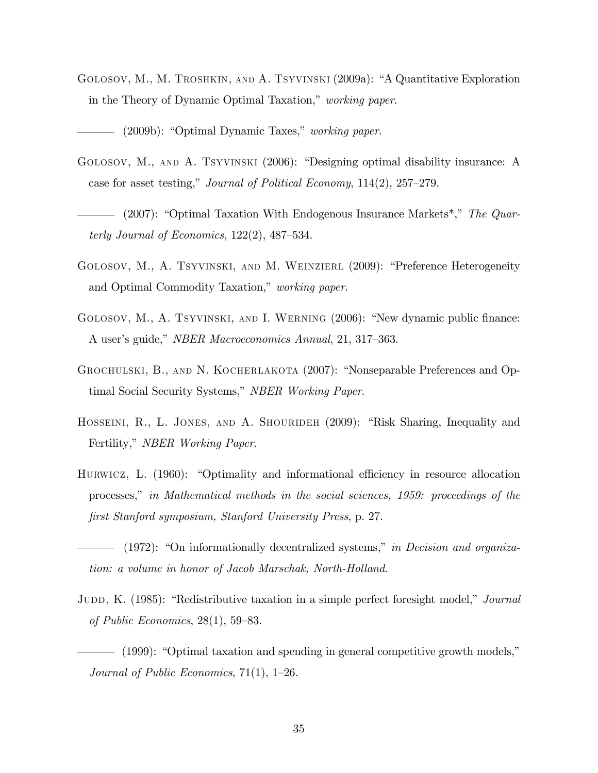<span id="page-34-9"></span>GOLOSOV, M., M. TROSHKIN, AND A. TSYVINSKI (2009a): "A Quantitative Exploration in the Theory of Dynamic Optimal Taxation," working paper.

<span id="page-34-2"></span> $-$  (2009b): "Optimal Dynamic Taxes," working paper.

- <span id="page-34-0"></span>GOLOSOV, M., AND A. TSYVINSKI (2006): "Designing optimal disability insurance: A case for asset testing," Journal of Political Economy,  $114(2)$ ,  $257-279$ .
- <span id="page-34-6"></span> $(2007)$ : "Optimal Taxation With Endogenous Insurance Markets<sup>\*</sup>," The Quarterly Journal of Economics,  $122(2)$ ,  $487-534$ .
- <span id="page-34-5"></span>GOLOSOV, M., A. TSYVINSKI, AND M. WEINZIERL (2009): "Preference Heterogeneity and Optimal Commodity Taxation," working paper.
- <span id="page-34-1"></span>GOLOSOV, M., A. TSYVINSKI, AND I. WERNING (2006): "New dynamic public finance: A user's guide," NBER Macroeconomics Annual, 21, 317–363.
- <span id="page-34-11"></span>GROCHULSKI, B., AND N. KOCHERLAKOTA (2007): "Nonseparable Preferences and Optimal Social Security Systems," NBER Working Paper.
- <span id="page-34-10"></span>HOSSEINI, R., L. JONES, AND A. SHOURIDEH (2009): "Risk Sharing, Inequality and Fertility," NBER Working Paper.
- <span id="page-34-3"></span>HURWICZ, L. (1960): "Optimality and informational efficiency in resource allocation processes,î in Mathematical methods in the social sciences, 1959: proceedings of the Örst Stanford symposium, Stanford University Press, p. 27.
- <span id="page-34-4"></span>(1972): "On informationally decentralized systems," in Decision and organization: a volume in honor of Jacob Marschak, North-Holland.
- <span id="page-34-7"></span>JUDD, K. (1985): "Redistributive taxation in a simple perfect foresight model," *Journal* of Public Economics,  $28(1)$ ,  $59-83$ .
- <span id="page-34-8"></span> $\sim$  (1999): "Optimal taxation and spending in general competitive growth models," Journal of Public Economics,  $71(1)$ ,  $1-26$ .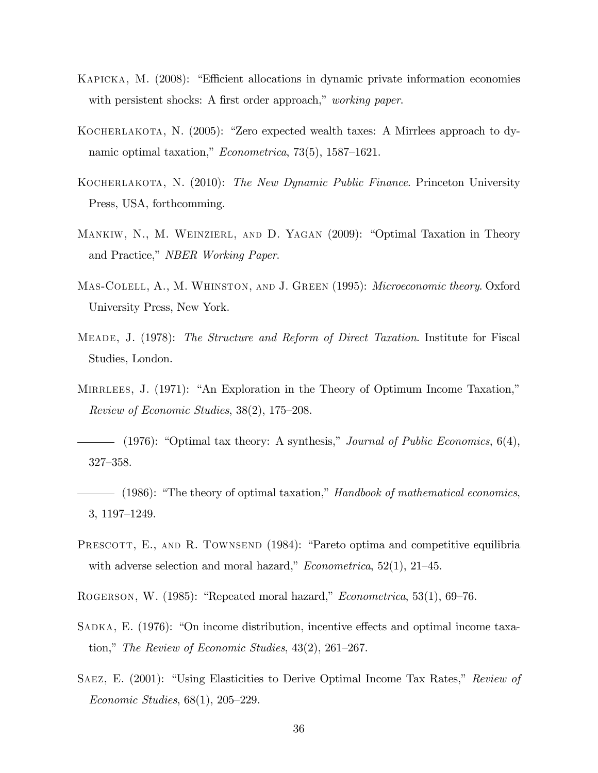- <span id="page-35-10"></span>KAPICKA, M. (2008): "Efficient allocations in dynamic private information economies with persistent shocks: A first order approach," working paper.
- <span id="page-35-5"></span>KOCHERLAKOTA, N.  $(2005)$ : "Zero expected wealth taxes: A Mirrlees approach to dynamic optimal taxation,"  $Econometrica$ , 73(5), 1587–1621.
- <span id="page-35-6"></span>KOCHERLAKOTA, N. (2010): The New Dynamic Public Finance. Princeton University Press, USA, forthcomming.
- <span id="page-35-12"></span>MANKIW, N., M. WEINZIERL, AND D. YAGAN (2009): "Optimal Taxation in Theory and Practice," NBER Working Paper.
- <span id="page-35-8"></span>Mas-Colell, A., M. Whinston, and J. Green (1995): Microeconomic theory. Oxford University Press, New York.
- <span id="page-35-7"></span>Meade, J. (1978): The Structure and Reform of Direct Taxation. Institute for Fiscal Studies, London.
- <span id="page-35-0"></span>MIRRLEES, J. (1971): "An Exploration in the Theory of Optimum Income Taxation," Review of Economic Studies,  $38(2)$ , 175–208.

<span id="page-35-1"></span> $-$  (1976): "Optimal tax theory: A synthesis," *Journal of Public Economics*,  $6(4)$ , 327-358.

<span id="page-35-11"></span>PRESCOTT, E., AND R. TOWNSEND (1984): "Pareto optima and competitive equilibria with adverse selection and moral hazard,"  $Econometrica$ , 52(1), 21–45.

<span id="page-35-9"></span>ROGERSON, W.  $(1985)$ : "Repeated moral hazard," *Econometrica*, 53 $(1)$ , 69–76.

- <span id="page-35-4"></span>SADKA, E. (1976): "On income distribution, incentive effects and optimal income taxation," The Review of Economic Studies,  $43(2)$ ,  $261-267$ .
- <span id="page-35-3"></span>SAEZ, E. (2001): "Using Elasticities to Derive Optimal Income Tax Rates," Review of Economic Studies,  $68(1)$ ,  $205-229$ .

<span id="page-35-2"></span> $-$  (1986): "The theory of optimal taxation," Handbook of mathematical economics, 3, 1197-1249.